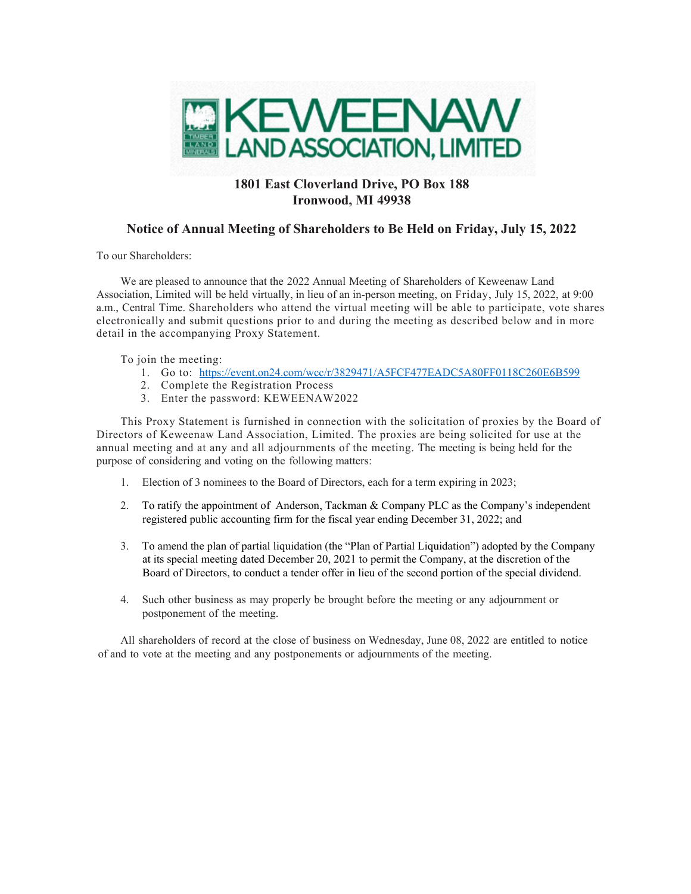

## **1801 East Cloverland Drive, PO Box 188 Ironwood, MI 49938**

## **Notice of Annual Meeting of Shareholders to Be Held on Friday, July 15, 2022**

To our Shareholders:

We are pleased to announce that the 2022 Annual Meeting of Shareholders of Keweenaw Land Association, Limited will be held virtually, in lieu of an in-person meeting, on Friday, July 15, 2022, at 9:00 a.m., Central Time. Shareholders who attend the virtual meeting will be able to participate, vote shares electronically and submit questions prior to and during the meeting as described below and in more detail in the accompanying Proxy Statement.

To join the meeting:

- 1. Go to: https://event.on24.com/wcc/r/3829471/A5FCF477EADC5A80FF0118C260E6B599
- 2. Complete the Registration Process
- 3. Enter the password: KEWEENAW2022

This Proxy Statement is furnished in connection with the solicitation of proxies by the Board of Directors of Keweenaw Land Association, Limited. The proxies are being solicited for use at the annual meeting and at any and all adjournments of the meeting. The meeting is being held for the purpose of considering and voting on the following matters:

- 1. Election of 3 nominees to the Board of Directors, each for a term expiring in 2023;
- 2. To ratify the appointment of Anderson, Tackman & Company PLC as the Company's independent registered public accounting firm for the fiscal year ending December 31, 2022; and
- 3. To amend the plan of partial liquidation (the "Plan of Partial Liquidation") adopted by the Company at its special meeting dated December 20, 2021 to permit the Company, at the discretion of the Board of Directors, to conduct a tender offer in lieu of the second portion of the special dividend.
- 4. Such other business as may properly be brought before the meeting or any adjournment or postponement of the meeting.

All shareholders of record at the close of business on Wednesday, June 08, 2022 are entitled to notice of and to vote at the meeting and any postponements or adjournments of the meeting.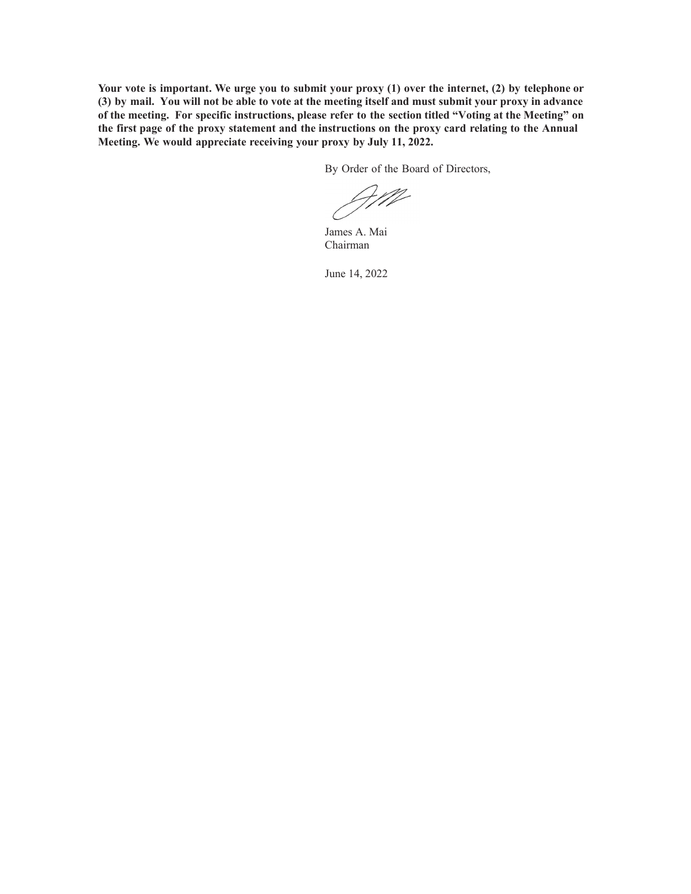**Your vote is important. We urge you to submit your proxy (1) over the internet, (2) by telephone or (3) by mail. You will not be able to vote at the meeting itself and must submit your proxy in advance of the meeting. For specific instructions, please refer to the section titled "Voting at the Meeting" on the first page of the proxy statement and the instructions on the proxy card relating to the Annual Meeting. We would appreciate receiving your proxy by July 11, 2022.**

By Order of the Board of Directors,

James A. Mai Chairman

June 14, 2022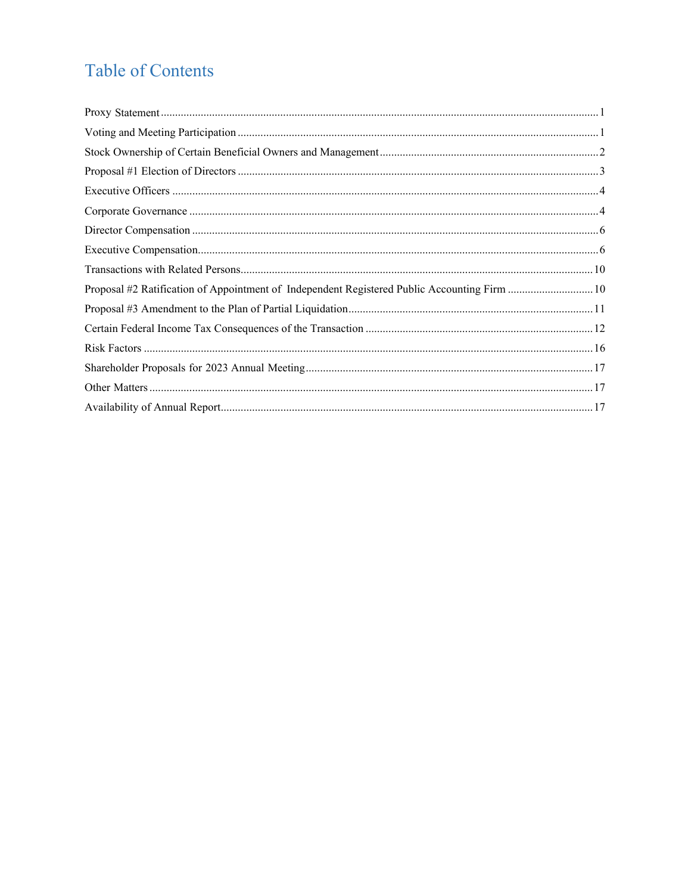# **Table of Contents**

| Proposal #2 Ratification of Appointment of Independent Registered Public Accounting Firm  10 |  |
|----------------------------------------------------------------------------------------------|--|
|                                                                                              |  |
|                                                                                              |  |
|                                                                                              |  |
|                                                                                              |  |
|                                                                                              |  |
|                                                                                              |  |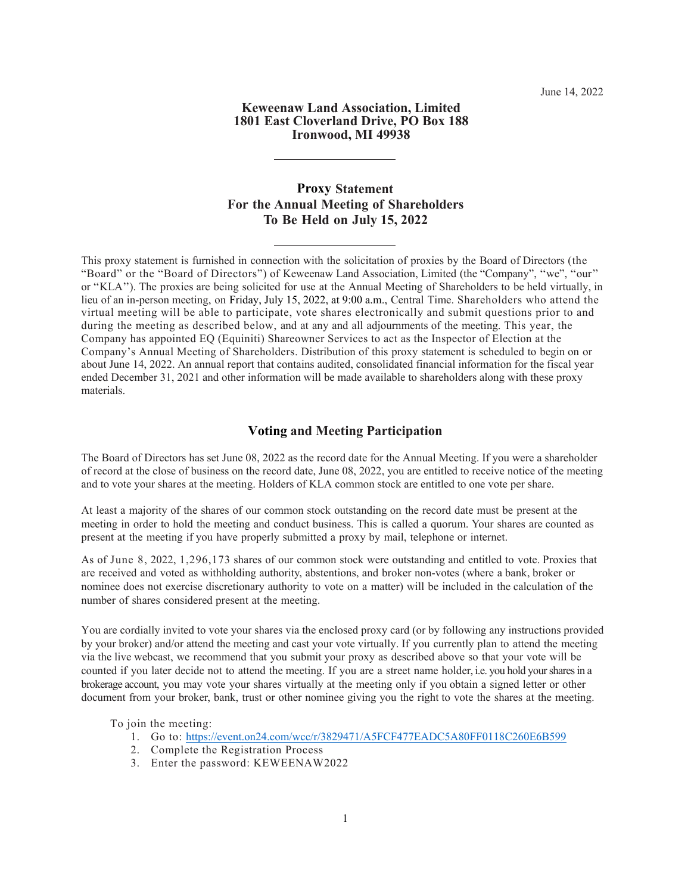#### **Keweenaw Land Association, Limited 1801 East Cloverland Drive, PO Box 188 Ironwood, MI 49938**

## **Proxy Statement For the Annual Meeting of Shareholders To Be Held on July 15, 2022**

This proxy statement is furnished in connection with the solicitation of proxies by the Board of Directors (the "Board" or the "Board of Directors") of Keweenaw Land Association, Limited (the "Company", ''we", ''our'' or ''KLA''). The proxies are being solicited for use at the Annual Meeting of Shareholders to be held virtually, in lieu of an in-person meeting, on Friday, July 15, 2022, at 9:00 a.m., Central Time. Shareholders who attend the virtual meeting will be able to participate, vote shares electronically and submit questions prior to and during the meeting as described below, and at any and all adjournments of the meeting. This year, the Company has appointed EQ (Equiniti) Shareowner Services to act as the Inspector of Election at the Company's Annual Meeting of Shareholders. Distribution of this proxy statement is scheduled to begin on or about June 14, 2022. An annual report that contains audited, consolidated financial information for the fiscal year ended December 31, 2021 and other information will be made available to shareholders along with these proxy materials.

### **Voting and Meeting Participation**

The Board of Directors has set June 08, 2022 as the record date for the Annual Meeting. If you were a shareholder of record at the close of business on the record date, June 08, 2022, you are entitled to receive notice of the meeting and to vote your shares at the meeting. Holders of KLA common stock are entitled to one vote per share.

At least a majority of the shares of our common stock outstanding on the record date must be present at the meeting in order to hold the meeting and conduct business. This is called a quorum. Your shares are counted as present at the meeting if you have properly submitted a proxy by mail, telephone or internet.

As of June 8, 2022, 1,296,173 shares of our common stock were outstanding and entitled to vote. Proxies that are received and voted as withholding authority, abstentions, and broker non-votes (where a bank, broker or nominee does not exercise discretionary authority to vote on a matter) will be included in the calculation of the number of shares considered present at the meeting.

You are cordially invited to vote your shares via the enclosed proxy card (or by following any instructions provided by your broker) and/or attend the meeting and cast your vote virtually. If you currently plan to attend the meeting via the live webcast, we recommend that you submit your proxy as described above so that your vote will be counted if you later decide not to attend the meeting. If you are a street name holder, i.e. you hold your shares in a brokerage account, you may vote your shares virtually at the meeting only if you obtain a signed letter or other document from your broker, bank, trust or other nominee giving you the right to vote the shares at the meeting.

To join the meeting:

- 1. Go to: https://event.on24.com/wcc/r/3829471/A5FCF477EADC5A80FF0118C260E6B599
- 2. Complete the Registration Process
- 3. Enter the password: KEWEENAW2022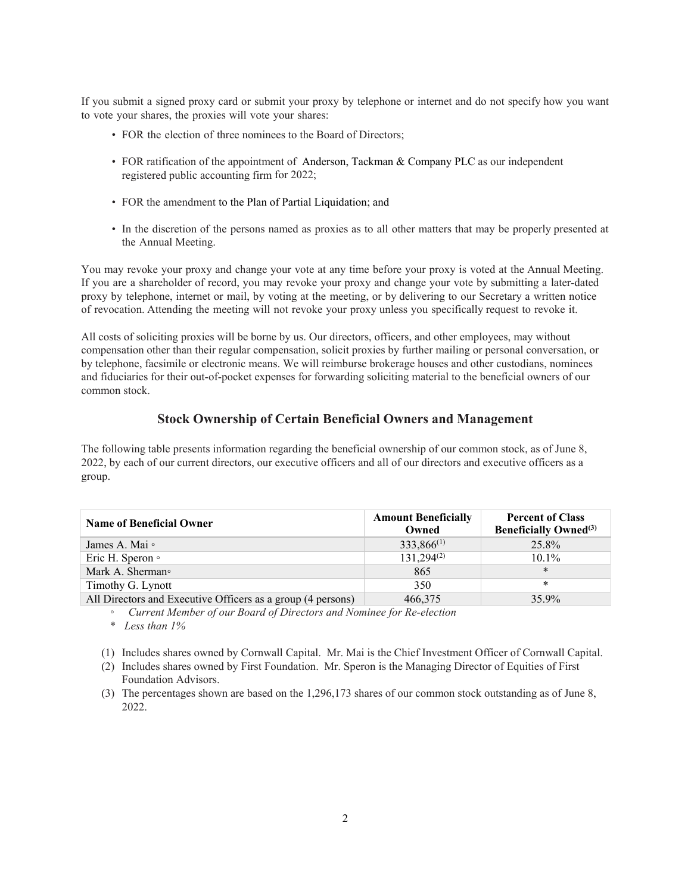If you submit a signed proxy card or submit your proxy by telephone or internet and do not specify how you want to vote your shares, the proxies will vote your shares:

- FOR the election of three nominees to the Board of Directors;
- FOR ratification of the appointment of Anderson, Tackman & Company PLC as our independent registered public accounting firm for 2022;
- FOR the amendment to the Plan of Partial Liquidation; and
- In the discretion of the persons named as proxies as to all other matters that may be properly presented at the Annual Meeting.

You may revoke your proxy and change your vote at any time before your proxy is voted at the Annual Meeting. If you are a shareholder of record, you may revoke your proxy and change your vote by submitting a later-dated proxy by telephone, internet or mail, by voting at the meeting, or by delivering to our Secretary a written notice of revocation. Attending the meeting will not revoke your proxy unless you specifically request to revoke it.

All costs of soliciting proxies will be borne by us. Our directors, officers, and other employees, may without compensation other than their regular compensation, solicit proxies by further mailing or personal conversation, or by telephone, facsimile or electronic means. We will reimburse brokerage houses and other custodians, nominees and fiduciaries for their out-of-pocket expenses for forwarding soliciting material to the beneficial owners of our common stock.

## **Stock Ownership of Certain Beneficial Owners and Management**

The following table presents information regarding the beneficial ownership of our common stock, as of June 8, 2022, by each of our current directors, our executive officers and all of our directors and executive officers as a group.

| <b>Name of Beneficial Owner</b>                             | <b>Amount Beneficially</b><br>Owned | <b>Percent of Class</b><br><b>Beneficially Owned</b> <sup>(3)</sup> |  |
|-------------------------------------------------------------|-------------------------------------|---------------------------------------------------------------------|--|
| James A. Mai $\circ$                                        | $333,866^{(1)}$                     | 25.8%                                                               |  |
| Eric H. Speron o                                            | $131.294^{(2)}$                     | $10.1\%$                                                            |  |
| Mark A. Sherman <sup>o</sup>                                | 865                                 | $\ast$                                                              |  |
| Timothy G. Lynott                                           | 350                                 | *                                                                   |  |
| All Directors and Executive Officers as a group (4 persons) | 466,375                             | 35.9%                                                               |  |

*◦ Current Member of our Board of Directors and Nominee for Re-election*

\* *Less than 1%*

(1) Includes shares owned by Cornwall Capital. Mr. Mai is the Chief Investment Officer of Cornwall Capital.

(2) Includes shares owned by First Foundation. Mr. Speron is the Managing Director of Equities of First Foundation Advisors.

(3) The percentages shown are based on the 1,296,173 shares of our common stock outstanding as of June 8, 2022.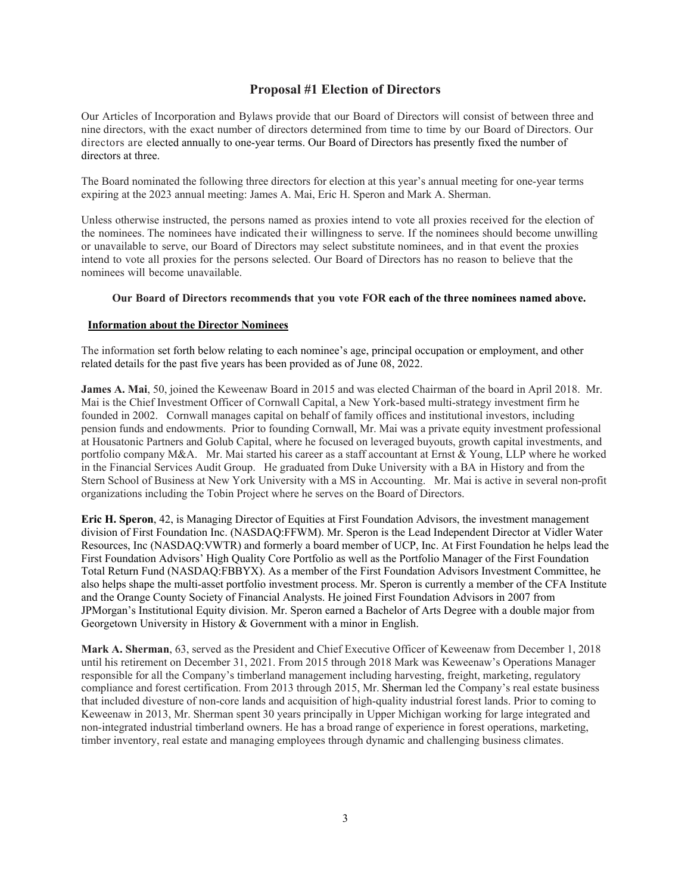### **Proposal #1 Election of Directors**

Our Articles of Incorporation and Bylaws provide that our Board of Directors will consist of between three and nine directors, with the exact number of directors determined from time to time by our Board of Directors. Our directors are elected annually to one-year terms. Our Board of Directors has presently fixed the number of directors at three.

The Board nominated the following three directors for election at this year's annual meeting for one-year terms expiring at the 2023 annual meeting: James A. Mai, Eric H. Speron and Mark A. Sherman.

Unless otherwise instructed, the persons named as proxies intend to vote all proxies received for the election of the nominees. The nominees have indicated their willingness to serve. If the nominees should become unwilling or unavailable to serve, our Board of Directors may select substitute nominees, and in that event the proxies intend to vote all proxies for the persons selected. Our Board of Directors has no reason to believe that the nominees will become unavailable.

#### **Our Board of Directors recommends that you vote FOR each of the three nominees named above.**

#### **Information about the Director Nominees**

The information set forth below relating to each nominee's age, principal occupation or employment, and other related details for the past five years has been provided as of June 08, 2022.

**James A. Mai**, 50, joined the Keweenaw Board in 2015 and was elected Chairman of the board in April 2018. Mr. Mai is the Chief Investment Officer of Cornwall Capital, a New York-based multi-strategy investment firm he founded in 2002. Cornwall manages capital on behalf of family offices and institutional investors, including pension funds and endowments. Prior to founding Cornwall, Mr. Mai was a private equity investment professional at Housatonic Partners and Golub Capital, where he focused on leveraged buyouts, growth capital investments, and portfolio company M&A. Mr. Mai started his career as a staff accountant at Ernst & Young, LLP where he worked in the Financial Services Audit Group. He graduated from Duke University with a BA in History and from the Stern School of Business at New York University with a MS in Accounting. Mr. Mai is active in several non-profit organizations including the Tobin Project where he serves on the Board of Directors.

**Eric H. Speron**, 42, is Managing Director of Equities at First Foundation Advisors, the investment management division of First Foundation Inc. (NASDAQ:FFWM). Mr. Speron is the Lead Independent Director at Vidler Water Resources, Inc (NASDAQ:VWTR) and formerly a board member of UCP, Inc. At First Foundation he helps lead the First Foundation Advisors' High Quality Core Portfolio as well as the Portfolio Manager of the First Foundation Total Return Fund (NASDAQ:FBBYX). As a member of the First Foundation Advisors Investment Committee, he also helps shape the multi-asset portfolio investment process. Mr. Speron is currently a member of the CFA Institute and the Orange County Society of Financial Analysts. He joined First Foundation Advisors in 2007 from JPMorgan's Institutional Equity division. Mr. Speron earned a Bachelor of Arts Degree with a double major from Georgetown University in History & Government with a minor in English.

**Mark A. Sherman**, 63, served as the President and Chief Executive Officer of Keweenaw from December 1, 2018 until his retirement on December 31, 2021. From 2015 through 2018 Mark was Keweenaw's Operations Manager responsible for all the Company's timberland management including harvesting, freight, marketing, regulatory compliance and forest certification. From 2013 through 2015, Mr. Sherman led the Company's real estate business that included divesture of non-core lands and acquisition of high-quality industrial forest lands. Prior to coming to Keweenaw in 2013, Mr. Sherman spent 30 years principally in Upper Michigan working for large integrated and non-integrated industrial timberland owners. He has a broad range of experience in forest operations, marketing, timber inventory, real estate and managing employees through dynamic and challenging business climates.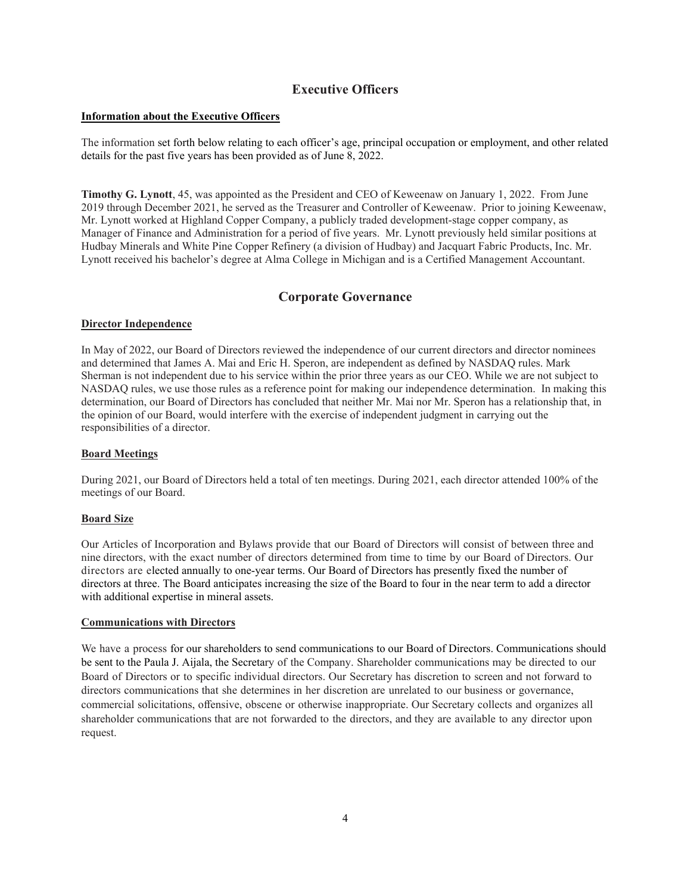## **Executive Officers**

#### **Information about the Executive Officers**

The information set forth below relating to each officer's age, principal occupation or employment, and other related details for the past five years has been provided as of June 8, 2022.

**Timothy G. Lynott**, 45, was appointed as the President and CEO of Keweenaw on January 1, 2022. From June 2019 through December 2021, he served as the Treasurer and Controller of Keweenaw. Prior to joining Keweenaw, Mr. Lynott worked at Highland Copper Company, a publicly traded development-stage copper company, as Manager of Finance and Administration for a period of five years. Mr. Lynott previously held similar positions at Hudbay Minerals and White Pine Copper Refinery (a division of Hudbay) and Jacquart Fabric Products, Inc. Mr. Lynott received his bachelor's degree at Alma College in Michigan and is a Certified Management Accountant.

## **Corporate Governance**

#### **Director Independence**

In May of 2022, our Board of Directors reviewed the independence of our current directors and director nominees and determined that James A. Mai and Eric H. Speron, are independent as defined by NASDAQ rules. Mark Sherman is not independent due to his service within the prior three years as our CEO. While we are not subject to NASDAQ rules, we use those rules as a reference point for making our independence determination. In making this determination, our Board of Directors has concluded that neither Mr. Mai nor Mr. Speron has a relationship that, in the opinion of our Board, would interfere with the exercise of independent judgment in carrying out the responsibilities of a director.

### **Board Meetings**

During 2021, our Board of Directors held a total of ten meetings. During 2021, each director attended 100% of the meetings of our Board.

### **Board Size**

Our Articles of Incorporation and Bylaws provide that our Board of Directors will consist of between three and nine directors, with the exact number of directors determined from time to time by our Board of Directors. Our directors are elected annually to one-year terms. Our Board of Directors has presently fixed the number of directors at three. The Board anticipates increasing the size of the Board to four in the near term to add a director with additional expertise in mineral assets.

#### **Communications with Directors**

We have a process for our shareholders to send communications to our Board of Directors. Communications should be sent to the Paula J. Aijala, the Secretary of the Company. Shareholder communications may be directed to our Board of Directors or to specific individual directors. Our Secretary has discretion to screen and not forward to directors communications that she determines in her discretion are unrelated to our business or governance, commercial solicitations, offensive, obscene or otherwise inappropriate. Our Secretary collects and organizes all shareholder communications that are not forwarded to the directors, and they are available to any director upon request.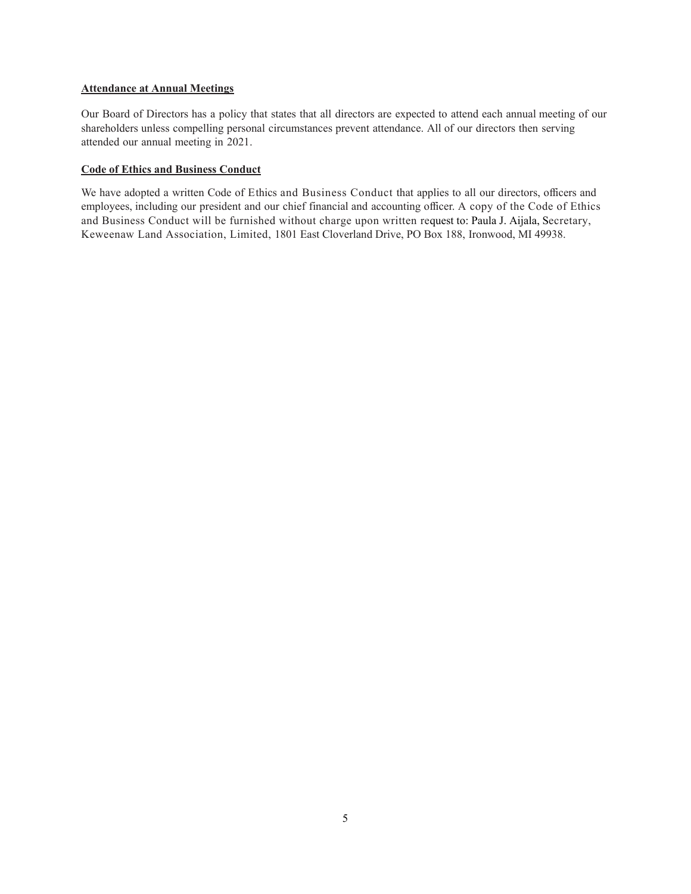#### **Attendance at Annual Meetings**

Our Board of Directors has a policy that states that all directors are expected to attend each annual meeting of our shareholders unless compelling personal circumstances prevent attendance. All of our directors then serving attended our annual meeting in 2021.

#### **Code of Ethics and Business Conduct**

We have adopted a written Code of Ethics and Business Conduct that applies to all our directors, officers and employees, including our president and our chief financial and accounting officer. A copy of the Code of Ethics and Business Conduct will be furnished without charge upon written request to: Paula J. Aijala, Secretary, Keweenaw Land Association, Limited, 1801 East Cloverland Drive, PO Box 188, Ironwood, MI 49938.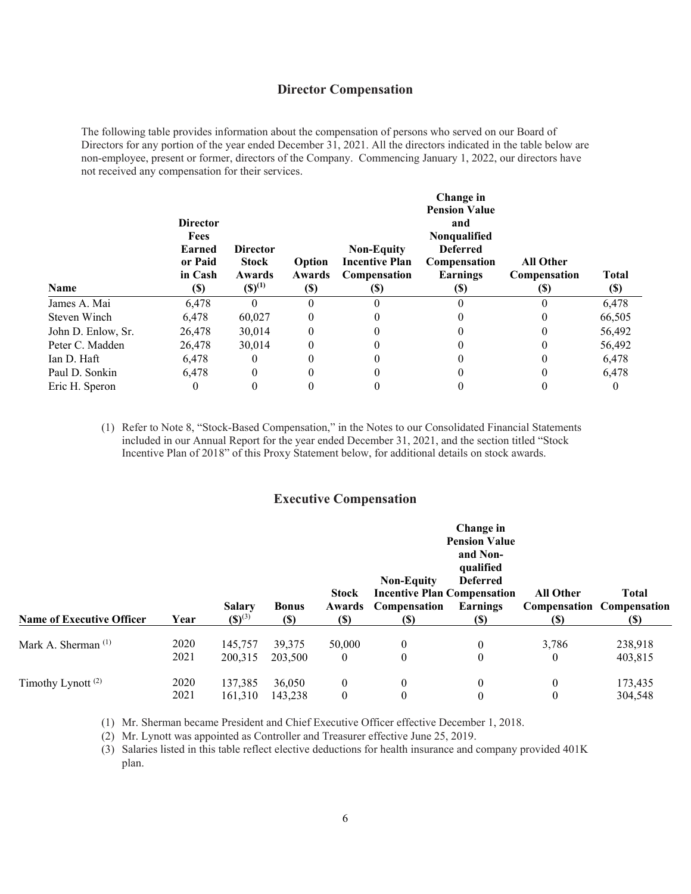## **Director Compensation**

The following table provides information about the compensation of persons who served on our Board of Directors for any portion of the year ended December 31, 2021. All the directors indicated in the table below are non-employee, present or former, directors of the Company. Commencing January 1, 2022, our directors have not received any compensation for their services.

| <b>Name</b>        | <b>Director</b><br><b>Fees</b><br><b>Earned</b><br>or Paid<br>in Cash<br>$\left( \mathbb{S}\right)$ | <b>Director</b><br><b>Stock</b><br>Awards<br>$(S)^{(1)}$ | Option<br>Awards<br><b>(\$)</b> | <b>Non-Equity</b><br><b>Incentive Plan</b><br>Compensation<br><b>(\$)</b> | Change in<br><b>Pension Value</b><br>and<br><b>Nonqualified</b><br><b>Deferred</b><br><b>Compensation</b><br>Earnings<br>(\$) | <b>All Other</b><br><b>Compensation</b><br>$\left( \mathbb{S}\right)$ | <b>Total</b><br>$\left( \mathbb{S}\right)$ |
|--------------------|-----------------------------------------------------------------------------------------------------|----------------------------------------------------------|---------------------------------|---------------------------------------------------------------------------|-------------------------------------------------------------------------------------------------------------------------------|-----------------------------------------------------------------------|--------------------------------------------|
| James A. Mai       | 6,478                                                                                               | 0                                                        |                                 |                                                                           |                                                                                                                               |                                                                       | 6,478                                      |
| Steven Winch       | 6.478                                                                                               | 60,027                                                   | 0                               |                                                                           |                                                                                                                               |                                                                       | 66,505                                     |
| John D. Enlow, Sr. | 26,478                                                                                              | 30.014                                                   | 0                               |                                                                           |                                                                                                                               |                                                                       | 56,492                                     |
| Peter C. Madden    | 26,478                                                                                              | 30.014                                                   | 0                               |                                                                           |                                                                                                                               |                                                                       | 56,492                                     |
| Ian D. Haft        | 6.478                                                                                               | $\theta$                                                 |                                 |                                                                           |                                                                                                                               |                                                                       | 6,478                                      |
| Paul D. Sonkin     | 6.478                                                                                               | 0                                                        | 0                               |                                                                           |                                                                                                                               |                                                                       | 6,478                                      |
| Eric H. Speron     | 0                                                                                                   | $_{0}$                                                   | $\theta$                        |                                                                           |                                                                                                                               |                                                                       |                                            |

(1) Refer to Note 8, "Stock-Based Compensation," in the Notes to our Consolidated Financial Statements included in our Annual Report for the year ended December 31, 2021, and the section titled "Stock Incentive Plan of 2018" of this Proxy Statement below, for additional details on stock awards.

## **Executive Compensation**

| <b>Name of Executive Officer</b>           | Year | <b>Salary</b><br>$(S)^{(3)}$ | <b>Bonus</b><br><b>(\$)</b> | <b>Stock</b><br>Awards<br>(S) | <b>Non-Equity</b><br>Compensation<br>(S) | Change in<br><b>Pension Value</b><br>and Non-<br>qualified<br><b>Deferred</b><br><b>Incentive Plan Compensation</b><br><b>Earnings</b><br><b>(S)</b> | <b>All Other</b><br><b>(S)</b> | <b>Total</b><br><b>Compensation Compensation</b><br>(S) |
|--------------------------------------------|------|------------------------------|-----------------------------|-------------------------------|------------------------------------------|------------------------------------------------------------------------------------------------------------------------------------------------------|--------------------------------|---------------------------------------------------------|
|                                            |      |                              |                             |                               |                                          |                                                                                                                                                      |                                |                                                         |
| Mark A. Sherman $(1)$                      | 2020 | 145,757                      | 39,375                      | 50,000                        | $\mathbf{0}$                             | $\overline{0}$                                                                                                                                       | 3,786                          | 238,918                                                 |
|                                            | 2021 | 200,315                      | 203,500                     | $\mathbf{0}$                  | 0                                        | $\mathbf{0}$                                                                                                                                         | $\theta$                       | 403,815                                                 |
| Timothy Lynott <sup><math>(2)</math></sup> | 2020 | 137,385                      | 36,050                      | $\mathbf{0}$                  | $\mathbf{0}$                             | $\mathbf{0}$                                                                                                                                         | $\theta$                       | 173,435                                                 |
|                                            | 2021 | 161,310                      | 143,238                     | $\mathbf{0}$                  | $\mathbf{0}$                             | $\theta$                                                                                                                                             | $\theta$                       | 304,548                                                 |

(1) Mr. Sherman became President and Chief Executive Officer effective December 1, 2018.

(2) Mr. Lynott was appointed as Controller and Treasurer effective June 25, 2019.

(3) Salaries listed in this table reflect elective deductions for health insurance and company provided 401K plan.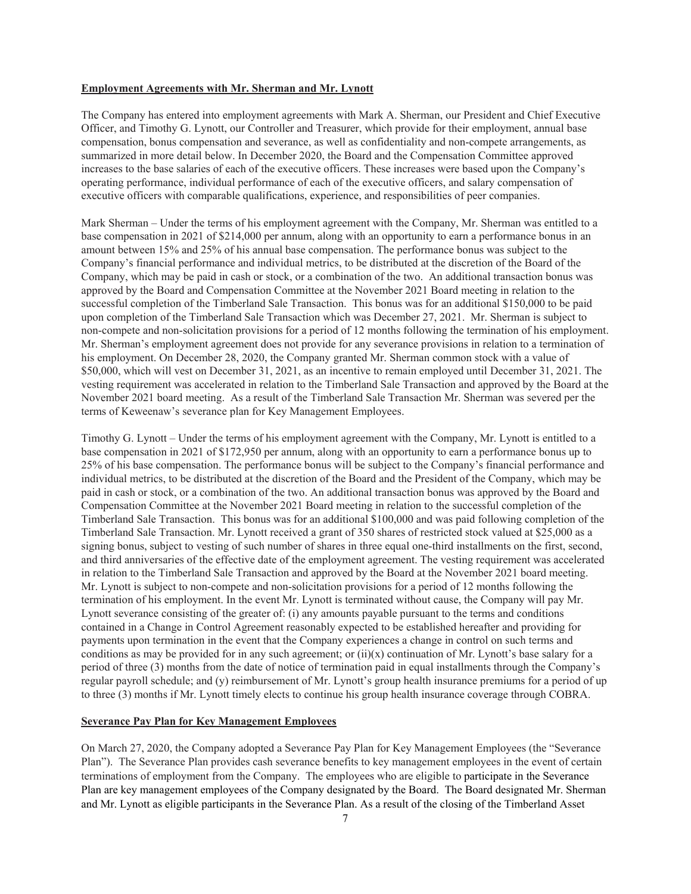#### **Employment Agreements with Mr. Sherman and Mr. Lynott**

The Company has entered into employment agreements with Mark A. Sherman, our President and Chief Executive Officer, and Timothy G. Lynott, our Controller and Treasurer, which provide for their employment, annual base compensation, bonus compensation and severance, as well as confidentiality and non-compete arrangements, as summarized in more detail below. In December 2020, the Board and the Compensation Committee approved increases to the base salaries of each of the executive officers. These increases were based upon the Company's operating performance, individual performance of each of the executive officers, and salary compensation of executive officers with comparable qualifications, experience, and responsibilities of peer companies.

Mark Sherman – Under the terms of his employment agreement with the Company, Mr. Sherman was entitled to a base compensation in 2021 of \$214,000 per annum, along with an opportunity to earn a performance bonus in an amount between 15% and 25% of his annual base compensation. The performance bonus was subject to the Company's financial performance and individual metrics, to be distributed at the discretion of the Board of the Company, which may be paid in cash or stock, or a combination of the two. An additional transaction bonus was approved by the Board and Compensation Committee at the November 2021 Board meeting in relation to the successful completion of the Timberland Sale Transaction. This bonus was for an additional \$150,000 to be paid upon completion of the Timberland Sale Transaction which was December 27, 2021. Mr. Sherman is subject to non-compete and non-solicitation provisions for a period of 12 months following the termination of his employment. Mr. Sherman's employment agreement does not provide for any severance provisions in relation to a termination of his employment. On December 28, 2020, the Company granted Mr. Sherman common stock with a value of \$50,000, which will vest on December 31, 2021, as an incentive to remain employed until December 31, 2021. The vesting requirement was accelerated in relation to the Timberland Sale Transaction and approved by the Board at the November 2021 board meeting. As a result of the Timberland Sale Transaction Mr. Sherman was severed per the terms of Keweenaw's severance plan for Key Management Employees.

Timothy G. Lynott – Under the terms of his employment agreement with the Company, Mr. Lynott is entitled to a base compensation in 2021 of \$172,950 per annum, along with an opportunity to earn a performance bonus up to 25% of his base compensation. The performance bonus will be subject to the Company's financial performance and individual metrics, to be distributed at the discretion of the Board and the President of the Company, which may be paid in cash or stock, or a combination of the two. An additional transaction bonus was approved by the Board and Compensation Committee at the November 2021 Board meeting in relation to the successful completion of the Timberland Sale Transaction. This bonus was for an additional \$100,000 and was paid following completion of the Timberland Sale Transaction. Mr. Lynott received a grant of 350 shares of restricted stock valued at \$25,000 as a signing bonus, subject to vesting of such number of shares in three equal one-third installments on the first, second, and third anniversaries of the effective date of the employment agreement. The vesting requirement was accelerated in relation to the Timberland Sale Transaction and approved by the Board at the November 2021 board meeting. Mr. Lynott is subject to non-compete and non-solicitation provisions for a period of 12 months following the termination of his employment. In the event Mr. Lynott is terminated without cause, the Company will pay Mr. Lynott severance consisting of the greater of: (i) any amounts payable pursuant to the terms and conditions contained in a Change in Control Agreement reasonably expected to be established hereafter and providing for payments upon termination in the event that the Company experiences a change in control on such terms and conditions as may be provided for in any such agreement; or  $(ii)(x)$  continuation of Mr. Lynott's base salary for a period of three (3) months from the date of notice of termination paid in equal installments through the Company's regular payroll schedule; and (y) reimbursement of Mr. Lynott's group health insurance premiums for a period of up to three (3) months if Mr. Lynott timely elects to continue his group health insurance coverage through COBRA.

#### **Severance Pay Plan for Key Management Employees**

On March 27, 2020, the Company adopted a Severance Pay Plan for Key Management Employees (the "Severance Plan"). The Severance Plan provides cash severance benefits to key management employees in the event of certain terminations of employment from the Company. The employees who are eligible to participate in the Severance Plan are key management employees of the Company designated by the Board. The Board designated Mr. Sherman and Mr. Lynott as eligible participants in the Severance Plan. As a result of the closing of the Timberland Asset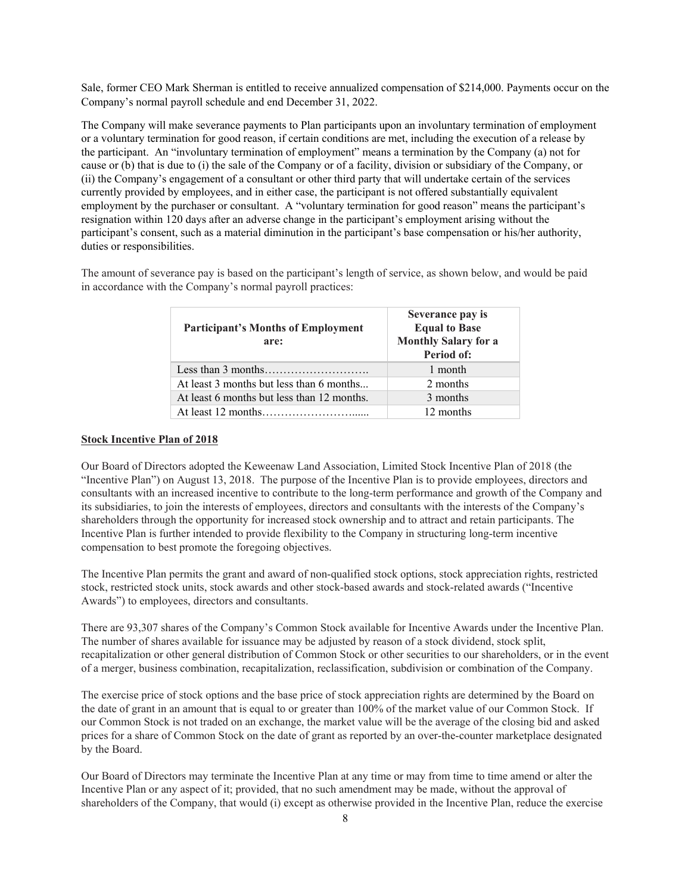Sale, former CEO Mark Sherman is entitled to receive annualized compensation of \$214,000. Payments occur on the Company's normal payroll schedule and end December 31, 2022.

The Company will make severance payments to Plan participants upon an involuntary termination of employment or a voluntary termination for good reason, if certain conditions are met, including the execution of a release by the participant. An "involuntary termination of employment" means a termination by the Company (a) not for cause or (b) that is due to (i) the sale of the Company or of a facility, division or subsidiary of the Company, or (ii) the Company's engagement of a consultant or other third party that will undertake certain of the services currently provided by employees, and in either case, the participant is not offered substantially equivalent employment by the purchaser or consultant. A "voluntary termination for good reason" means the participant's resignation within 120 days after an adverse change in the participant's employment arising without the participant's consent, such as a material diminution in the participant's base compensation or his/her authority, duties or responsibilities.

The amount of severance pay is based on the participant's length of service, as shown below, and would be paid in accordance with the Company's normal payroll practices:

| <b>Participant's Months of Employment</b><br>are: | Severance pay is<br><b>Equal to Base</b><br><b>Monthly Salary for a</b><br>Period of: |
|---------------------------------------------------|---------------------------------------------------------------------------------------|
|                                                   | 1 month                                                                               |
| At least 3 months but less than 6 months          | 2 months                                                                              |
| At least 6 months but less than 12 months.        | 3 months                                                                              |
|                                                   | 12 months                                                                             |

#### **Stock Incentive Plan of 2018**

Our Board of Directors adopted the Keweenaw Land Association, Limited Stock Incentive Plan of 2018 (the "Incentive Plan") on August 13, 2018. The purpose of the Incentive Plan is to provide employees, directors and consultants with an increased incentive to contribute to the long-term performance and growth of the Company and its subsidiaries, to join the interests of employees, directors and consultants with the interests of the Company's shareholders through the opportunity for increased stock ownership and to attract and retain participants. The Incentive Plan is further intended to provide flexibility to the Company in structuring long-term incentive compensation to best promote the foregoing objectives.

The Incentive Plan permits the grant and award of non-qualified stock options, stock appreciation rights, restricted stock, restricted stock units, stock awards and other stock-based awards and stock-related awards ("Incentive Awards") to employees, directors and consultants.

There are 93,307 shares of the Company's Common Stock available for Incentive Awards under the Incentive Plan. The number of shares available for issuance may be adjusted by reason of a stock dividend, stock split, recapitalization or other general distribution of Common Stock or other securities to our shareholders, or in the event of a merger, business combination, recapitalization, reclassification, subdivision or combination of the Company.

The exercise price of stock options and the base price of stock appreciation rights are determined by the Board on the date of grant in an amount that is equal to or greater than 100% of the market value of our Common Stock. If our Common Stock is not traded on an exchange, the market value will be the average of the closing bid and asked prices for a share of Common Stock on the date of grant as reported by an over-the-counter marketplace designated by the Board.

Our Board of Directors may terminate the Incentive Plan at any time or may from time to time amend or alter the Incentive Plan or any aspect of it; provided, that no such amendment may be made, without the approval of shareholders of the Company, that would (i) except as otherwise provided in the Incentive Plan, reduce the exercise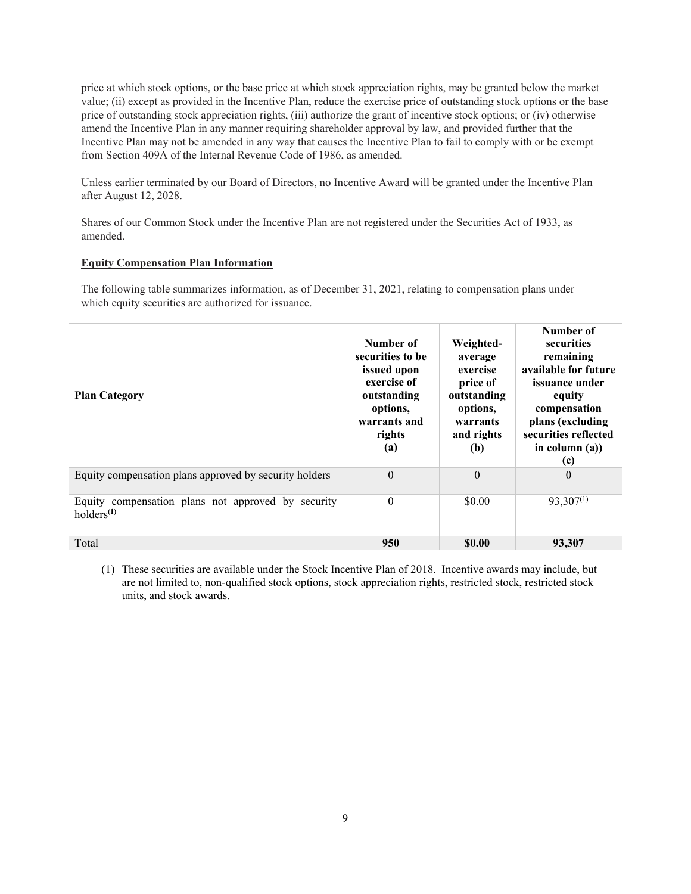price at which stock options, or the base price at which stock appreciation rights, may be granted below the market value; (ii) except as provided in the Incentive Plan, reduce the exercise price of outstanding stock options or the base price of outstanding stock appreciation rights, (iii) authorize the grant of incentive stock options; or (iv) otherwise amend the Incentive Plan in any manner requiring shareholder approval by law, and provided further that the Incentive Plan may not be amended in any way that causes the Incentive Plan to fail to comply with or be exempt from Section 409A of the Internal Revenue Code of 1986, as amended.

Unless earlier terminated by our Board of Directors, no Incentive Award will be granted under the Incentive Plan after August 12, 2028.

Shares of our Common Stock under the Incentive Plan are not registered under the Securities Act of 1933, as amended.

#### **Equity Compensation Plan Information**

The following table summarizes information, as of December 31, 2021, relating to compensation plans under which equity securities are authorized for issuance.

| <b>Plan Category</b>                                                         | Number of<br>securities to be<br>issued upon<br>exercise of<br>outstanding<br>options,<br>warrants and<br>rights<br>(a) | Weighted-<br>average<br>exercise<br>price of<br>outstanding<br>options,<br>warrants<br>and rights<br>(b) | Number of<br>securities<br>remaining<br>available for future<br>issuance under<br>equity<br>compensation<br>plans (excluding<br>securities reflected<br>in column $(a)$ )<br>(c) |
|------------------------------------------------------------------------------|-------------------------------------------------------------------------------------------------------------------------|----------------------------------------------------------------------------------------------------------|----------------------------------------------------------------------------------------------------------------------------------------------------------------------------------|
| Equity compensation plans approved by security holders                       | $\theta$                                                                                                                | $\Omega$                                                                                                 | $\Omega$                                                                                                                                                                         |
| Equity compensation plans not approved by security<br>holders <sup>(1)</sup> | $\theta$                                                                                                                | \$0.00                                                                                                   | $93,307^{(1)}$                                                                                                                                                                   |
| Total                                                                        | 950                                                                                                                     | <b>\$0.00</b>                                                                                            | 93.307                                                                                                                                                                           |

(1) These securities are available under the Stock Incentive Plan of 2018. Incentive awards may include, but are not limited to, non-qualified stock options, stock appreciation rights, restricted stock, restricted stock units, and stock awards.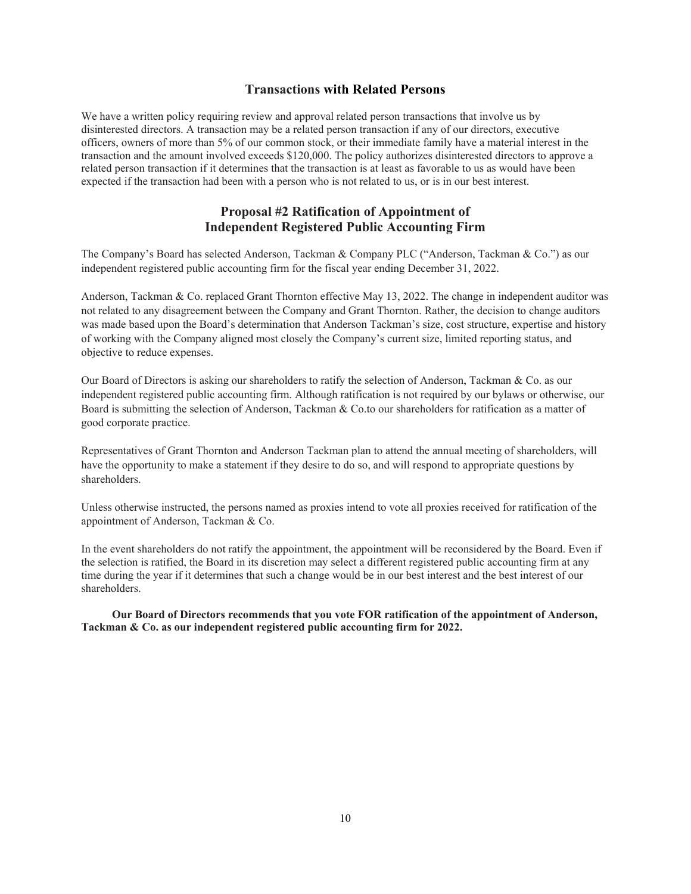## **Transactions with Related Persons**

We have a written policy requiring review and approval related person transactions that involve us by disinterested directors. A transaction may be a related person transaction if any of our directors, executive officers, owners of more than 5% of our common stock, or their immediate family have a material interest in the transaction and the amount involved exceeds \$120,000. The policy authorizes disinterested directors to approve a related person transaction if it determines that the transaction is at least as favorable to us as would have been expected if the transaction had been with a person who is not related to us, or is in our best interest.

## **Proposal #2 Ratification of Appointment of Independent Registered Public Accounting Firm**

The Company's Board has selected Anderson, Tackman & Company PLC ("Anderson, Tackman & Co.") as our independent registered public accounting firm for the fiscal year ending December 31, 2022.

Anderson, Tackman & Co. replaced Grant Thornton effective May 13, 2022. The change in independent auditor was not related to any disagreement between the Company and Grant Thornton. Rather, the decision to change auditors was made based upon the Board's determination that Anderson Tackman's size, cost structure, expertise and history of working with the Company aligned most closely the Company's current size, limited reporting status, and objective to reduce expenses.

Our Board of Directors is asking our shareholders to ratify the selection of Anderson, Tackman & Co. as our independent registered public accounting firm. Although ratification is not required by our bylaws or otherwise, our Board is submitting the selection of Anderson, Tackman & Co.to our shareholders for ratification as a matter of good corporate practice.

Representatives of Grant Thornton and Anderson Tackman plan to attend the annual meeting of shareholders, will have the opportunity to make a statement if they desire to do so, and will respond to appropriate questions by shareholders.

Unless otherwise instructed, the persons named as proxies intend to vote all proxies received for ratification of the appointment of Anderson, Tackman & Co.

In the event shareholders do not ratify the appointment, the appointment will be reconsidered by the Board. Even if the selection is ratified, the Board in its discretion may select a different registered public accounting firm at any time during the year if it determines that such a change would be in our best interest and the best interest of our shareholders.

**Our Board of Directors recommends that you vote FOR ratification of the appointment of Anderson, Tackman & Co. as our independent registered public accounting firm for 2022.**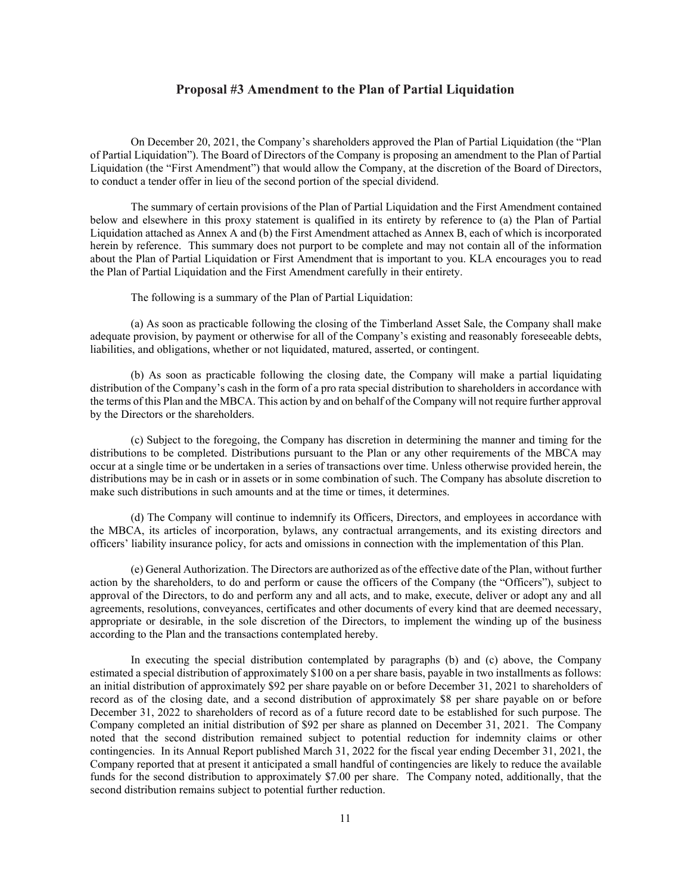#### **Proposal #3 Amendment to the Plan of Partial Liquidation**

On December 20, 2021, the Company's shareholders approved the Plan of Partial Liquidation (the "Plan of Partial Liquidation"). The Board of Directors of the Company is proposing an amendment to the Plan of Partial Liquidation (the "First Amendment") that would allow the Company, at the discretion of the Board of Directors, to conduct a tender offer in lieu of the second portion of the special dividend.

The summary of certain provisions of the Plan of Partial Liquidation and the First Amendment contained below and elsewhere in this proxy statement is qualified in its entirety by reference to (a) the Plan of Partial Liquidation attached as Annex A and (b) the First Amendment attached as Annex B, each of which is incorporated herein by reference. This summary does not purport to be complete and may not contain all of the information about the Plan of Partial Liquidation or First Amendment that is important to you. KLA encourages you to read the Plan of Partial Liquidation and the First Amendment carefully in their entirety.

The following is a summary of the Plan of Partial Liquidation:

(a) As soon as practicable following the closing of the Timberland Asset Sale, the Company shall make adequate provision, by payment or otherwise for all of the Company's existing and reasonably foreseeable debts, liabilities, and obligations, whether or not liquidated, matured, asserted, or contingent.

(b) As soon as practicable following the closing date, the Company will make a partial liquidating distribution of the Company's cash in the form of a pro rata special distribution to shareholders in accordance with the terms of this Plan and the MBCA. This action by and on behalf of the Company will not require further approval by the Directors or the shareholders.

(c) Subject to the foregoing, the Company has discretion in determining the manner and timing for the distributions to be completed. Distributions pursuant to the Plan or any other requirements of the MBCA may occur at a single time or be undertaken in a series of transactions over time. Unless otherwise provided herein, the distributions may be in cash or in assets or in some combination of such. The Company has absolute discretion to make such distributions in such amounts and at the time or times, it determines.

(d) The Company will continue to indemnify its Officers, Directors, and employees in accordance with the MBCA, its articles of incorporation, bylaws, any contractual arrangements, and its existing directors and officers' liability insurance policy, for acts and omissions in connection with the implementation of this Plan.

(e) General Authorization. The Directors are authorized as of the effective date of the Plan, without further action by the shareholders, to do and perform or cause the officers of the Company (the "Officers"), subject to approval of the Directors, to do and perform any and all acts, and to make, execute, deliver or adopt any and all agreements, resolutions, conveyances, certificates and other documents of every kind that are deemed necessary, appropriate or desirable, in the sole discretion of the Directors, to implement the winding up of the business according to the Plan and the transactions contemplated hereby.

In executing the special distribution contemplated by paragraphs (b) and (c) above, the Company estimated a special distribution of approximately \$100 on a per share basis, payable in two installments as follows: an initial distribution of approximately \$92 per share payable on or before December 31, 2021 to shareholders of record as of the closing date, and a second distribution of approximately \$8 per share payable on or before December 31, 2022 to shareholders of record as of a future record date to be established for such purpose. The Company completed an initial distribution of \$92 per share as planned on December 31, 2021. The Company noted that the second distribution remained subject to potential reduction for indemnity claims or other contingencies. In its Annual Report published March 31, 2022 for the fiscal year ending December 31, 2021, the Company reported that at present it anticipated a small handful of contingencies are likely to reduce the available funds for the second distribution to approximately \$7.00 per share. The Company noted, additionally, that the second distribution remains subject to potential further reduction.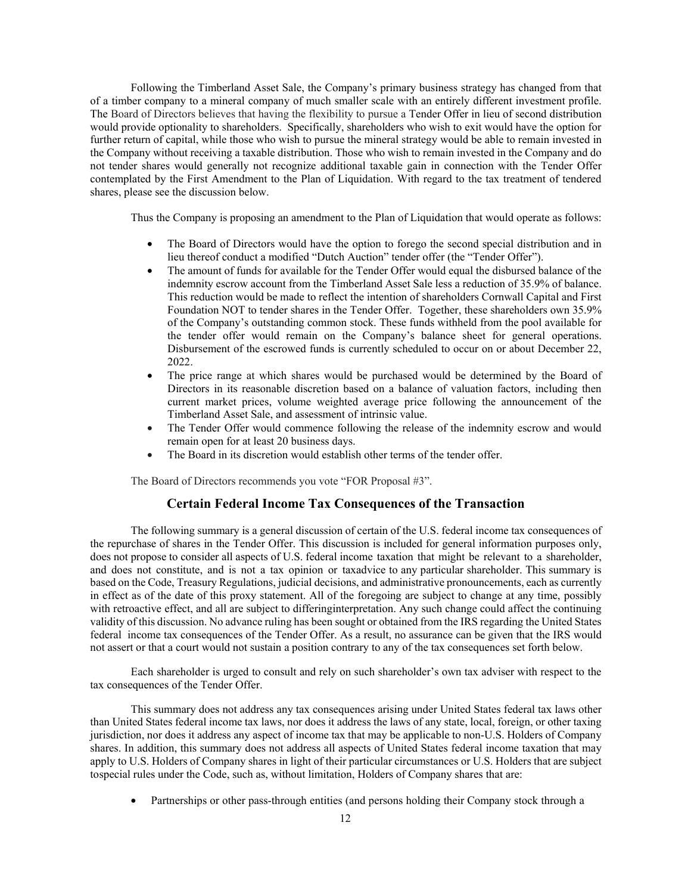Following the Timberland Asset Sale, the Company's primary business strategy has changed from that of a timber company to a mineral company of much smaller scale with an entirely different investment profile. The Board of Directors believes that having the flexibility to pursue a Tender Offer in lieu of second distribution would provide optionality to shareholders. Specifically, shareholders who wish to exit would have the option for further return of capital, while those who wish to pursue the mineral strategy would be able to remain invested in the Company without receiving a taxable distribution. Those who wish to remain invested in the Company and do not tender shares would generally not recognize additional taxable gain in connection with the Tender Offer contemplated by the First Amendment to the Plan of Liquidation. With regard to the tax treatment of tendered shares, please see the discussion below.

Thus the Company is proposing an amendment to the Plan of Liquidation that would operate as follows:

- The Board of Directors would have the option to forego the second special distribution and in lieu thereof conduct a modified "Dutch Auction" tender offer (the "Tender Offer").
- The amount of funds for available for the Tender Offer would equal the disbursed balance of the indemnity escrow account from the Timberland Asset Sale less a reduction of 35.9% of balance. This reduction would be made to reflect the intention of shareholders Cornwall Capital and First Foundation NOT to tender shares in the Tender Offer. Together, these shareholders own 35.9% of the Company's outstanding common stock. These funds withheld from the pool available for the tender offer would remain on the Company's balance sheet for general operations. Disbursement of the escrowed funds is currently scheduled to occur on or about December 22, 2022.
- The price range at which shares would be purchased would be determined by the Board of Directors in its reasonable discretion based on a balance of valuation factors, including then current market prices, volume weighted average price following the announcement of the Timberland Asset Sale, and assessment of intrinsic value.
- The Tender Offer would commence following the release of the indemnity escrow and would remain open for at least 20 business days.
- The Board in its discretion would establish other terms of the tender offer.

The Board of Directors recommends you vote "FOR Proposal #3".

### **Certain Federal Income Tax Consequences of the Transaction**

The following summary is a general discussion of certain of the U.S. federal income tax consequences of the repurchase of shares in the Tender Offer. This discussion is included for general information purposes only, does not propose to consider all aspects of U.S. federal income taxation that might be relevant to a shareholder, and does not constitute, and is not a tax opinion or taxadvice to any particular shareholder. This summary is based on the Code, Treasury Regulations, judicial decisions, and administrative pronouncements, each as currently in effect as of the date of this proxy statement. All of the foregoing are subject to change at any time, possibly with retroactive effect, and all are subject to differing interpretation. Any such change could affect the continuing validity of this discussion. No advance ruling has been sought or obtained from the IRS regarding the United States federal income tax consequences of the Tender Offer. As a result, no assurance can be given that the IRS would not assert or that a court would not sustain a position contrary to any of the tax consequences set forth below.

Each shareholder is urged to consult and rely on such shareholder's own tax adviser with respect to the tax consequences of the Tender Offer.

This summary does not address any tax consequences arising under United States federal tax laws other than United States federal income tax laws, nor does it address the laws of any state, local, foreign, or other taxing jurisdiction, nor does it address any aspect of income tax that may be applicable to non-U.S. Holders of Company shares. In addition, this summary does not address all aspects of United States federal income taxation that may apply to U.S. Holders of Company shares in light of their particular circumstances or U.S. Holders that are subject to special rules under the Code, such as, without limitation, Holders of Company shares that are:

• Partnerships or other pass-through entities (and persons holding their Company stock through a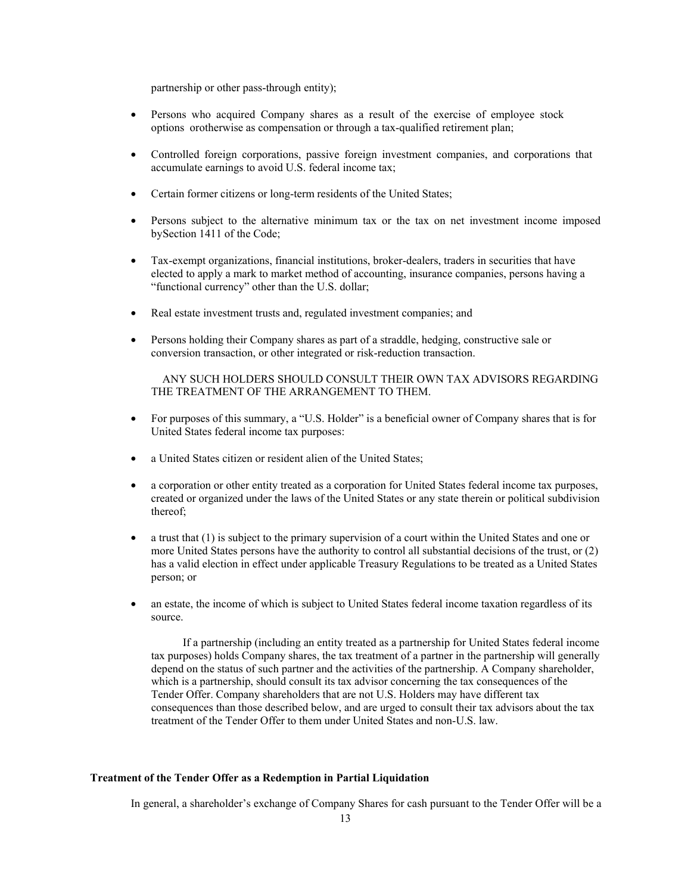partnership or other pass-through entity);

- Persons who acquired Company shares as a result of the exercise of employee stock options or otherwise as compensation or through a tax-qualified retirement plan;
- Controlled foreign corporations, passive foreign investment companies, and corporations that accumulate earnings to avoid U.S. federal income tax;
- Certain former citizens or long-term residents of the United States;
- Persons subject to the alternative minimum tax or the tax on net investment income imposed by Section 1411 of the Code;
- Tax-exempt organizations, financial institutions, broker-dealers, traders in securities that have elected to apply a mark to market method of accounting, insurance companies, persons having a "functional currency" other than the U.S. dollar;
- Real estate investment trusts and, regulated investment companies; and
- Persons holding their Company shares as part of a straddle, hedging, constructive sale or conversion transaction, or other integrated or risk-reduction transaction.

#### ANY SUCH HOLDERS SHOULD CONSULT THEIR OWN TAX ADVISORS REGARDING THE TREATMENT OF THE ARRANGEMENT TO THEM.

- For purposes of this summary, a "U.S. Holder" is a beneficial owner of Company shares that is for United States federal income tax purposes:
- a United States citizen or resident alien of the United States;
- a corporation or other entity treated as a corporation for United States federal income tax purposes, created or organized under the laws of the United States or any state therein or political subdivision thereof;
- a trust that (1) is subject to the primary supervision of a court within the United States and one or more United States persons have the authority to control all substantial decisions of the trust, or (2) has a valid election in effect under applicable Treasury Regulations to be treated as a United States person; or
- an estate, the income of which is subject to United States federal income taxation regardless of its source.

If a partnership (including an entity treated as a partnership for United States federal income tax purposes) holds Company shares, the tax treatment of a partner in the partnership will generally depend on the status of such partner and the activities of the partnership. A Company shareholder, which is a partnership, should consult its tax advisor concerning the tax consequences of the Tender Offer. Company shareholders that are not U.S. Holders may have different tax consequences than those described below, and are urged to consult their tax advisors about the tax treatment of the Tender Offer to them under United States and non-U.S. law.

#### **Treatment of the Tender Offer as a Redemption in Partial Liquidation**

In general, a shareholder's exchange of Company Shares for cash pursuant to the Tender Offer will be a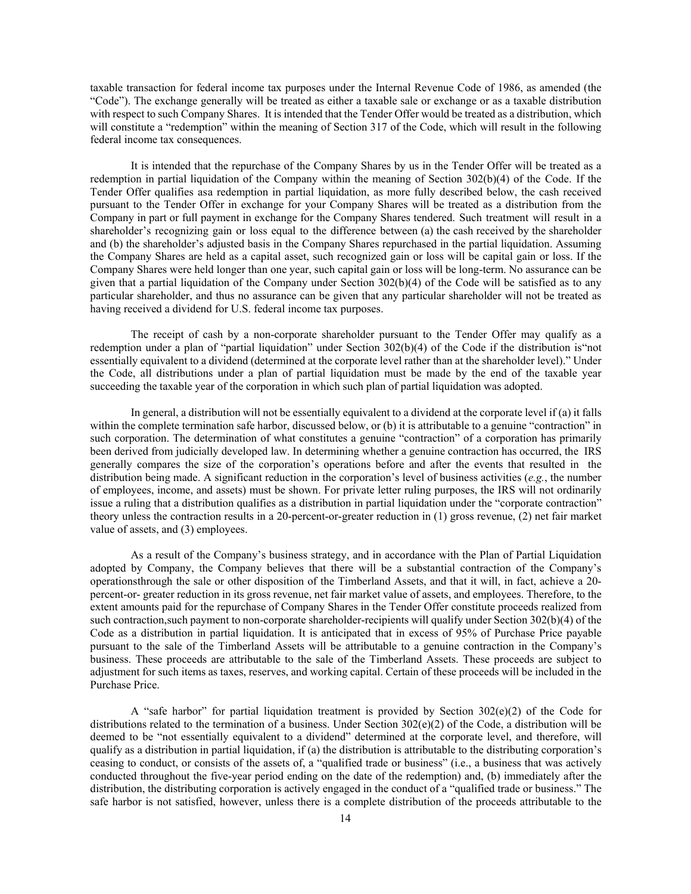taxable transaction for federal income tax purposes under the Internal Revenue Code of 1986, as amended (the "Code"). The exchange generally will be treated as either a taxable sale or exchange or as a taxable distribution with respect to such Company Shares. It is intended that the Tender Offer would be treated as a distribution, which will constitute a "redemption" within the meaning of Section 317 of the Code, which will result in the following federal income tax consequences.

It is intended that the repurchase of the Company Shares by us in the Tender Offer will be treated as a redemption in partial liquidation of the Company within the meaning of Section 302(b)(4) of the Code. If the Tender Offer qualifies as a redemption in partial liquidation, as more fully described below, the cash received pursuant to the Tender Offer in exchange for your Company Shares will be treated as a distribution from the Company in part or full payment in exchange for the Company Shares tendered. Such treatment will result in a shareholder's recognizing gain or loss equal to the difference between (a) the cash received by the shareholder and (b) the shareholder's adjusted basis in the Company Shares repurchased in the partial liquidation. Assuming the Company Shares are held as a capital asset, such recognized gain or loss will be capital gain or loss. If the Company Shares were held longer than one year, such capital gain or loss will be long-term. No assurance can be given that a partial liquidation of the Company under Section 302(b)(4) of the Code will be satisfied as to any particular shareholder, and thus no assurance can be given that any particular shareholder will not be treated as having received a dividend for U.S. federal income tax purposes.

The receipt of cash by a non-corporate shareholder pursuant to the Tender Offer may qualify as a redemption under a plan of "partial liquidation" under Section 302(b)(4) of the Code if the distribution is "not essentially equivalent to a dividend (determined at the corporate level rather than at the shareholder level)." Under the Code, all distributions under a plan of partial liquidation must be made by the end of the taxable year succeeding the taxable year of the corporation in which such plan of partial liquidation was adopted.

In general, a distribution will not be essentially equivalent to a dividend at the corporate level if (a) it falls within the complete termination safe harbor, discussed below, or (b) it is attributable to a genuine "contraction" in such corporation. The determination of what constitutes a genuine "contraction" of a corporation has primarily been derived from judicially developed law. In determining whether a genuine contraction has occurred, the IRS generally compares the size of the corporation's operations before and after the events that resulted in the distribution being made. A significant reduction in the corporation's level of business activities (*e.g.*, the number of employees, income, and assets) must be shown. For private letter ruling purposes, the IRS will not ordinarily issue a ruling that a distribution qualifies as a distribution in partial liquidation under the "corporate contraction" theory unless the contraction results in a 20-percent-or-greater reduction in (1) gross revenue, (2) net fair market value of assets, and (3) employees.

As a result of the Company's business strategy, and in accordance with the Plan of Partial Liquidation adopted by Company, the Company believes that there will be a substantial contraction of the Company's operations through the sale or other disposition of the Timberland Assets, and that it will, in fact, achieve a 20 percent-or- greater reduction in its gross revenue, net fair market value of assets, and employees. Therefore, to the extent amounts paid for the repurchase of Company Shares in the Tender Offer constitute proceeds realized from such contraction, such payment to non-corporate shareholder-recipients will qualify under Section 302(b)(4) of the Code as a distribution in partial liquidation. It is anticipated that in excess of 95% of Purchase Price payable pursuant to the sale of the Timberland Assets will be attributable to a genuine contraction in the Company's business. These proceeds are attributable to the sale of the Timberland Assets. These proceeds are subject to adjustment for such items as taxes, reserves, and working capital. Certain of these proceeds will be included in the Purchase Price.

A "safe harbor" for partial liquidation treatment is provided by Section  $302(e)(2)$  of the Code for distributions related to the termination of a business. Under Section 302(e)(2) of the Code, a distribution will be deemed to be "not essentially equivalent to a dividend" determined at the corporate level, and therefore, will qualify as a distribution in partial liquidation, if (a) the distribution is attributable to the distributing corporation's ceasing to conduct, or consists of the assets of, a "qualified trade or business" (i.e., a business that was actively conducted throughout the five-year period ending on the date of the redemption) and, (b) immediately after the distribution, the distributing corporation is actively engaged in the conduct of a "qualified trade or business." The safe harbor is not satisfied, however, unless there is a complete distribution of the proceeds attributable to the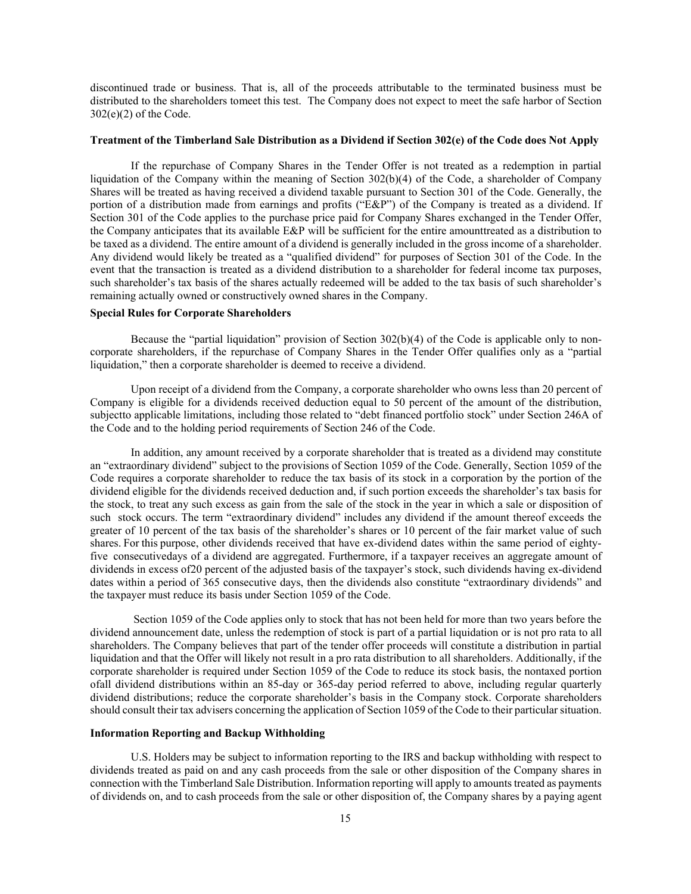discontinued trade or business. That is, all of the proceeds attributable to the terminated business must be distributed to the shareholders to meet this test. The Company does not expect to meet the safe harbor of Section 302(e)(2) of the Code.

#### **Treatment of the Timberland Sale Distribution as a Dividend if Section 302(e) of the Code does Not Apply**

If the repurchase of Company Shares in the Tender Offer is not treated as a redemption in partial liquidation of the Company within the meaning of Section 302(b)(4) of the Code, a shareholder of Company Shares will be treated as having received a dividend taxable pursuant to Section 301 of the Code. Generally, the portion of a distribution made from earnings and profits ("E&P") of the Company is treated as a dividend. If Section 301 of the Code applies to the purchase price paid for Company Shares exchanged in the Tender Offer, the Company anticipates that its available E&P will be sufficient for the entire amount treated as a distribution to be taxed as a dividend. The entire amount of a dividend is generally included in the gross income of a shareholder. Any dividend would likely be treated as a "qualified dividend" for purposes of Section 301 of the Code. In the event that the transaction is treated as a dividend distribution to a shareholder for federal income tax purposes, such shareholder's tax basis of the shares actually redeemed will be added to the tax basis of such shareholder's remaining actually owned or constructively owned shares in the Company.

#### **Special Rules for Corporate Shareholders**

Because the "partial liquidation" provision of Section 302(b)(4) of the Code is applicable only to noncorporate shareholders, if the repurchase of Company Shares in the Tender Offer qualifies only as a "partial liquidation," then a corporate shareholder is deemed to receive a dividend.

Upon receipt of a dividend from the Company, a corporate shareholder who owns less than 20 percent of Company is eligible for a dividends received deduction equal to 50 percent of the amount of the distribution, subjectto applicable limitations, including those related to "debt financed portfolio stock" under Section 246A of the Code and to the holding period requirements of Section 246 of the Code.

In addition, any amount received by a corporate shareholder that is treated as a dividend may constitute an "extraordinary dividend" subject to the provisions of Section 1059 of the Code. Generally, Section 1059 of the Code requires a corporate shareholder to reduce the tax basis of its stock in a corporation by the portion of the dividend eligible for the dividends received deduction and, if such portion exceeds the shareholder's tax basis for the stock, to treat any such excess as gain from the sale of the stock in the year in which a sale or disposition of such stock occurs. The term "extraordinary dividend" includes any dividend if the amount thereof exceeds the greater of 10 percent of the tax basis of the shareholder's shares or 10 percent of the fair market value of such shares. For this purpose, other dividends received that have ex-dividend dates within the same period of eightyfive consecutive days of a dividend are aggregated. Furthermore, if a taxpayer receives an aggregate amount of dividends in excess of 20 percent of the adjusted basis of the taxpayer's stock, such dividends having ex-dividend dates within a period of 365 consecutive days, then the dividends also constitute "extraordinary dividends" and the taxpayer must reduce its basis under Section 1059 of the Code.

Section 1059 of the Code applies only to stock that has not been held for more than two years before the dividend announcement date, unless the redemption of stock is part of a partial liquidation or is not pro rata to all shareholders. The Company believes that part of the tender offer proceeds will constitute a distribution in partial liquidation and that the Offer will likely not result in a pro rata distribution to all shareholders. Additionally, if the corporate shareholder is required under Section 1059 of the Code to reduce its stock basis, the nontaxed portion of all dividend distributions within an 85-day or 365-day period referred to above, including regular quarterly dividend distributions; reduce the corporate shareholder's basis in the Company stock. Corporate shareholders should consult their tax advisers concerning the application of Section 1059 of the Code to their particular situation.

#### **Information Reporting and Backup Withholding**

U.S. Holders may be subject to information reporting to the IRS and backup withholding with respect to dividends treated as paid on and any cash proceeds from the sale or other disposition of the Company shares in connection with the Timberland Sale Distribution. Information reporting will apply to amounts treated as payments of dividends on, and to cash proceeds from the sale or other disposition of, the Company shares by a paying agent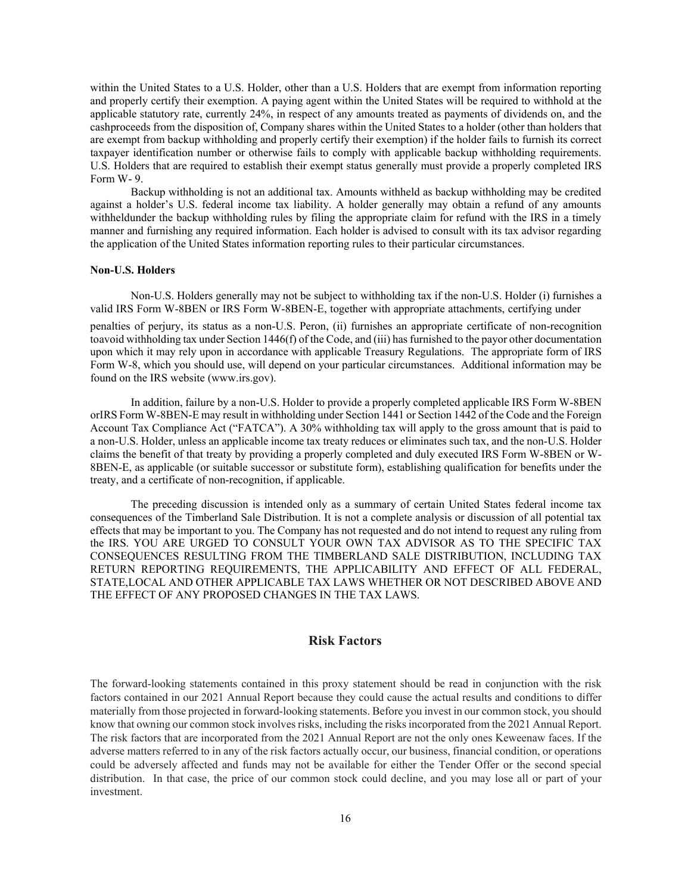within the United States to a U.S. Holder, other than a U.S. Holders that are exempt from information reporting and properly certify their exemption. A paying agent within the United States will be required to withhold at the applicable statutory rate, currently 24%, in respect of any amounts treated as payments of dividends on, and the cash proceeds from the disposition of, Company shares within the United States to a holder (other than holders that are exempt from backup withholding and properly certify their exemption) if the holder fails to furnish its correct taxpayer identification number or otherwise fails to comply with applicable backup withholding requirements. U.S. Holders that are required to establish their exempt status generally must provide a properly completed IRS Form W- 9.

Backup withholding is not an additional tax. Amounts withheld as backup withholding may be credited against a holder's U.S. federal income tax liability. A holder generally may obtain a refund of any amounts withheld under the backup withholding rules by filing the appropriate claim for refund with the IRS in a timely manner and furnishing any required information. Each holder is advised to consult with its tax advisor regarding the application of the United States information reporting rules to their particular circumstances.

#### **Non-U.S. Holders**

Non-U.S. Holders generally may not be subject to withholding tax if the non-U.S. Holder (i) furnishes a valid IRS Form W-8BEN or IRS Form W-8BEN-E, together with appropriate attachments, certifying under

penalties of perjury, its status as a non-U.S. Peron, (ii) furnishes an appropriate certificate of non-recognition to avoid withholding tax under Section 1446(f) of the Code, and (iii) has furnished to the payor other documentation upon which it may rely upon in accordance with applicable Treasury Regulations. The appropriate form of IRS Form W-8, which you should use, will depend on your particular circumstances. Additional information may be found on the IRS website (www.irs.gov).

In addition, failure by a non-U.S. Holder to provide a properly completed applicable IRS Form W-8BEN or IRS Form W-8BEN-E may result in withholding under Section 1441 or Section 1442 of the Code and the Foreign Account Tax Compliance Act ("FATCA"). A 30% withholding tax will apply to the gross amount that is paid to a non-U.S. Holder, unless an applicable income tax treaty reduces or eliminates such tax, and the non-U.S. Holder claims the benefit of that treaty by providing a properly completed and duly executed IRS Form W-8BEN or W-8BEN-E, as applicable (or suitable successor or substitute form), establishing qualification for benefits under the treaty, and a certificate of non-recognition, if applicable.

The preceding discussion is intended only as a summary of certain United States federal income tax consequences of the Timberland Sale Distribution. It is not a complete analysis or discussion of all potential tax effects that may be important to you. The Company has not requested and do not intend to request any ruling from the IRS. YOU ARE URGED TO CONSULT YOUR OWN TAX ADVISOR AS TO THE SPECIFIC TAX CONSEQUENCES RESULTING FROM THE TIMBERLAND SALE DISTRIBUTION, INCLUDING TAX RETURN REPORTING REQUIREMENTS, THE APPLICABILITY AND EFFECT OF ALL FEDERAL, STATE, LOCAL AND OTHER APPLICABLE TAX LAWS WHETHER OR NOT DESCRIBED ABOVE AND THE EFFECT OF ANY PROPOSED CHANGES IN THE TAX LAWS.

## **Risk Factors**

The forward-looking statements contained in this proxy statement should be read in conjunction with the risk factors contained in our 2021 Annual Report because they could cause the actual results and conditions to differ materially from those projected in forward-looking statements. Before you invest in our common stock, you should know that owning our common stock involves risks, including the risks incorporated from the 2021 Annual Report. The risk factors that are incorporated from the 2021 Annual Report are not the only ones Keweenaw faces. If the adverse matters referred to in any of the risk factors actually occur, our business, financial condition, or operations could be adversely affected and funds may not be available for either the Tender Offer or the second special distribution. In that case, the price of our common stock could decline, and you may lose all or part of your investment.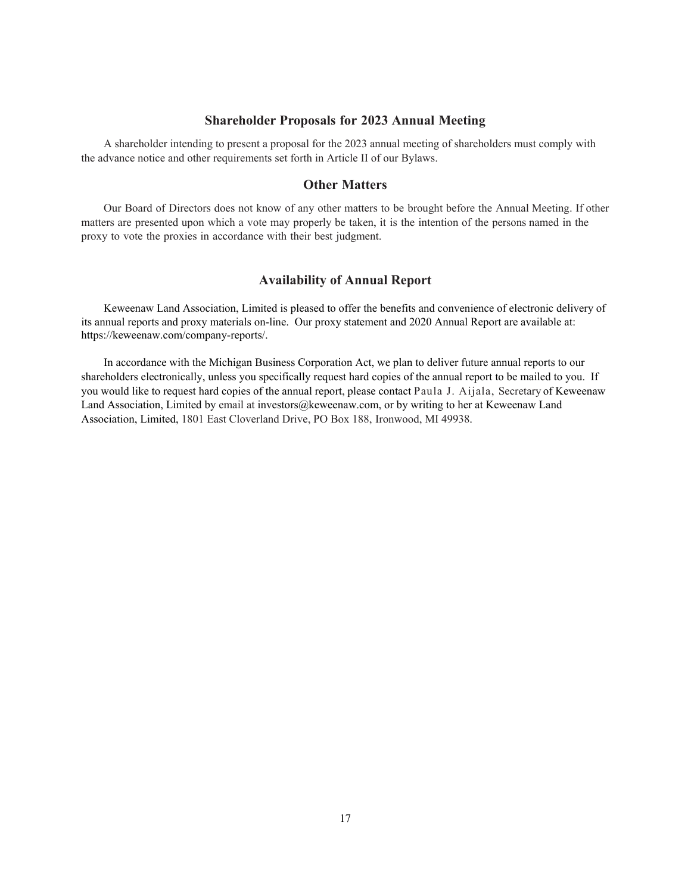### **Shareholder Proposals for 2023 Annual Meeting**

A shareholder intending to present a proposal for the 2023 annual meeting of shareholders must comply with the advance notice and other requirements set forth in Article II of our Bylaws.

### **Other Matters**

Our Board of Directors does not know of any other matters to be brought before the Annual Meeting. If other matters are presented upon which a vote may properly be taken, it is the intention of the persons named in the proxy to vote the proxies in accordance with their best judgment.

### **Availability of Annual Report**

Keweenaw Land Association, Limited is pleased to offer the benefits and convenience of electronic delivery of its annual reports and proxy materials on-line. Our proxy statement and 2020 Annual Report are available at: https://keweenaw.com/company-reports/.

In accordance with the Michigan Business Corporation Act, we plan to deliver future annual reports to our shareholders electronically, unless you specifically request hard copies of the annual report to be mailed to you. If you would like to request hard copies of the annual report, please contact Paula J. Aijala, Secretary of Keweenaw Land Association, Limited by email at investors@keweenaw.com, or by writing to her at Keweenaw Land Association, Limited, 1801 East Cloverland Drive, PO Box 188, Ironwood, MI 49938.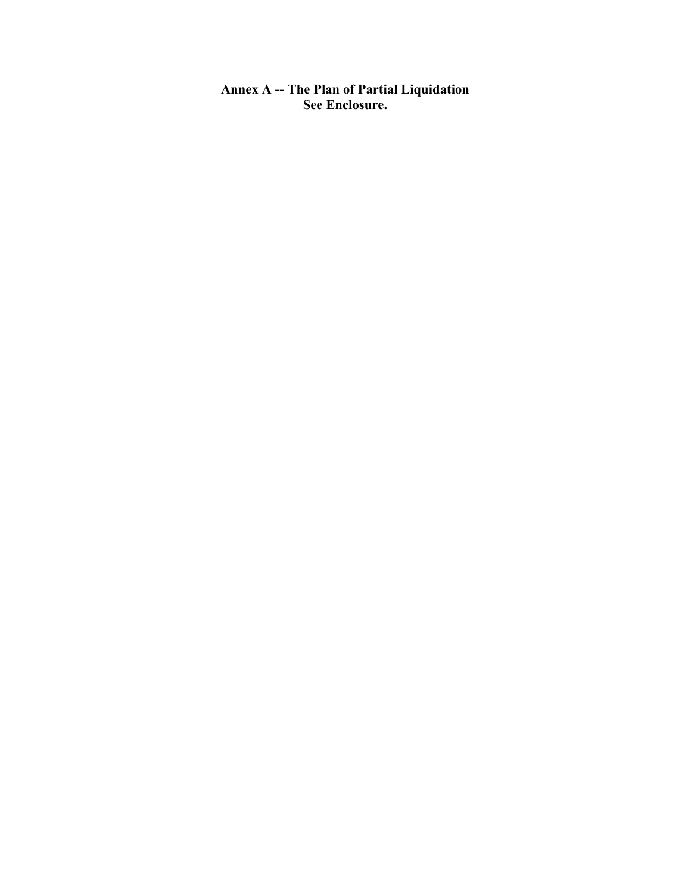**Annex A -- The Plan of Partial Liquidation See Enclosure.**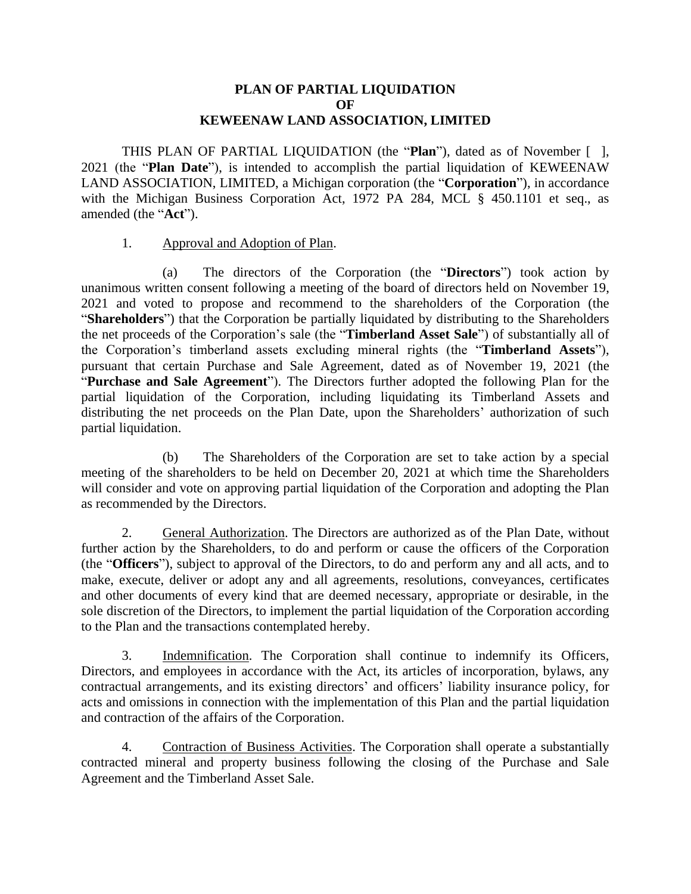## **PLAN OF PARTIAL LIQUIDATION OF KEWEENAW LAND ASSOCIATION, LIMITED**

THIS PLAN OF PARTIAL LIQUIDATION (the "**Plan**"), dated as of November [ ], 2021 (the "**Plan Date**"), is intended to accomplish the partial liquidation of KEWEENAW LAND ASSOCIATION, LIMITED, a Michigan corporation (the "**Corporation**"), in accordance with the Michigan Business Corporation Act, 1972 PA 284, MCL § 450.1101 et seq., as amended (the "**Act**").

## 1. Approval and Adoption of Plan.

(a) The directors of the Corporation (the "**Directors**") took action by unanimous written consent following a meeting of the board of directors held on November 19, 2021 and voted to propose and recommend to the shareholders of the Corporation (the "**Shareholders**") that the Corporation be partially liquidated by distributing to the Shareholders the net proceeds of the Corporation's sale (the "**Timberland Asset Sale**") of substantially all of the Corporation's timberland assets excluding mineral rights (the "**Timberland Assets**"), pursuant that certain Purchase and Sale Agreement, dated as of November 19, 2021 (the "**Purchase and Sale Agreement**"). The Directors further adopted the following Plan for the partial liquidation of the Corporation, including liquidating its Timberland Assets and distributing the net proceeds on the Plan Date, upon the Shareholders' authorization of such partial liquidation.

(b) The Shareholders of the Corporation are set to take action by a special meeting of the shareholders to be held on December 20, 2021 at which time the Shareholders will consider and vote on approving partial liquidation of the Corporation and adopting the Plan as recommended by the Directors.

2. General Authorization. The Directors are authorized as of the Plan Date, without further action by the Shareholders, to do and perform or cause the officers of the Corporation (the "**Officers**"), subject to approval of the Directors, to do and perform any and all acts, and to make, execute, deliver or adopt any and all agreements, resolutions, conveyances, certificates and other documents of every kind that are deemed necessary, appropriate or desirable, in the sole discretion of the Directors, to implement the partial liquidation of the Corporation according to the Plan and the transactions contemplated hereby.

3. Indemnification. The Corporation shall continue to indemnify its Officers, Directors, and employees in accordance with the Act, its articles of incorporation, bylaws, any contractual arrangements, and its existing directors' and officers' liability insurance policy, for acts and omissions in connection with the implementation of this Plan and the partial liquidation and contraction of the affairs of the Corporation.

4. Contraction of Business Activities. The Corporation shall operate a substantially contracted mineral and property business following the closing of the Purchase and Sale Agreement and the Timberland Asset Sale.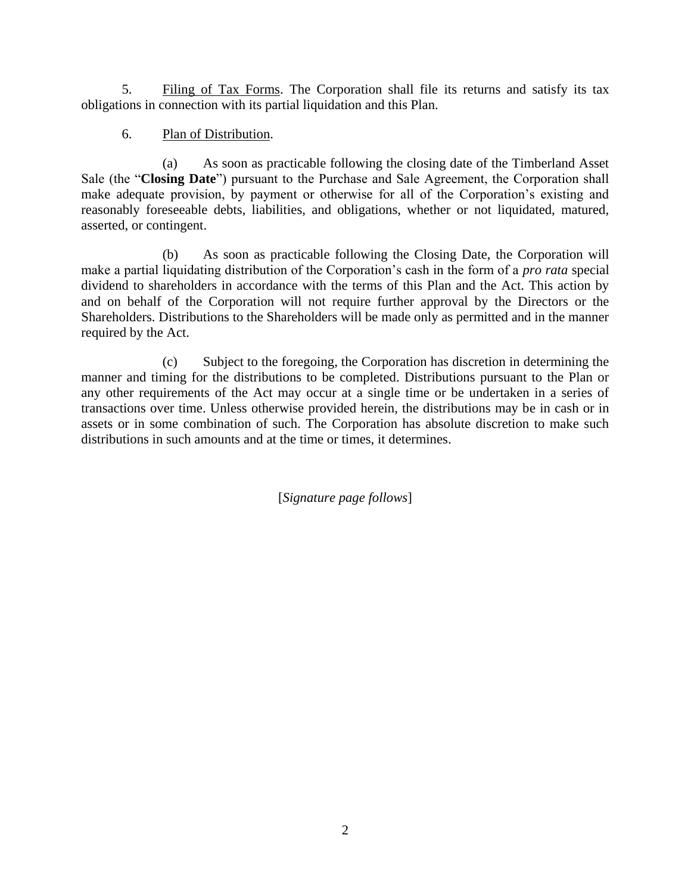5. Filing of Tax Forms. The Corporation shall file its returns and satisfy its tax obligations in connection with its partial liquidation and this Plan.

## 6. Plan of Distribution.

(a) As soon as practicable following the closing date of the Timberland Asset Sale (the "**Closing Date**") pursuant to the Purchase and Sale Agreement, the Corporation shall make adequate provision, by payment or otherwise for all of the Corporation's existing and reasonably foreseeable debts, liabilities, and obligations, whether or not liquidated, matured, asserted, or contingent.

(b) As soon as practicable following the Closing Date, the Corporation will make a partial liquidating distribution of the Corporation's cash in the form of a *pro rata* special dividend to shareholders in accordance with the terms of this Plan and the Act. This action by and on behalf of the Corporation will not require further approval by the Directors or the Shareholders. Distributions to the Shareholders will be made only as permitted and in the manner required by the Act.

(c) Subject to the foregoing, the Corporation has discretion in determining the manner and timing for the distributions to be completed. Distributions pursuant to the Plan or any other requirements of the Act may occur at a single time or be undertaken in a series of transactions over time. Unless otherwise provided herein, the distributions may be in cash or in assets or in some combination of such. The Corporation has absolute discretion to make such distributions in such amounts and at the time or times, it determines.

[*Signature page follows*]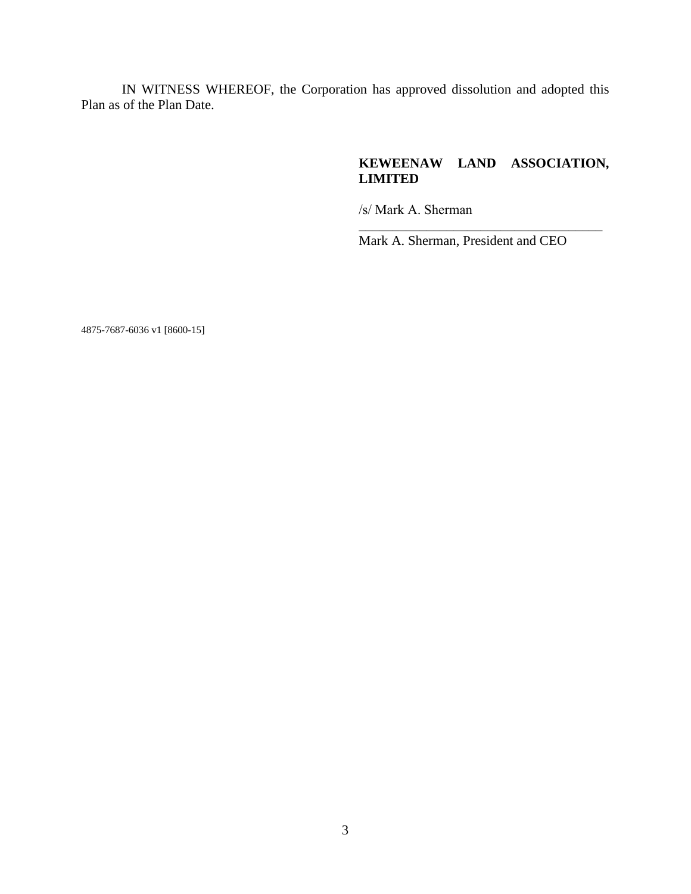IN WITNESS WHEREOF, the Corporation has approved dissolution and adopted this Plan as of the Plan Date.

## **KEWEENAW LAND ASSOCIATION, LIMITED**

\_\_\_\_\_\_\_\_\_\_\_\_\_\_\_\_\_\_\_\_\_\_\_\_\_\_\_\_\_\_\_\_\_\_\_\_

/s/ Mark A. Sherman

Mark A. Sherman, President and CEO

4875-7687-6036 v1 [8600-15]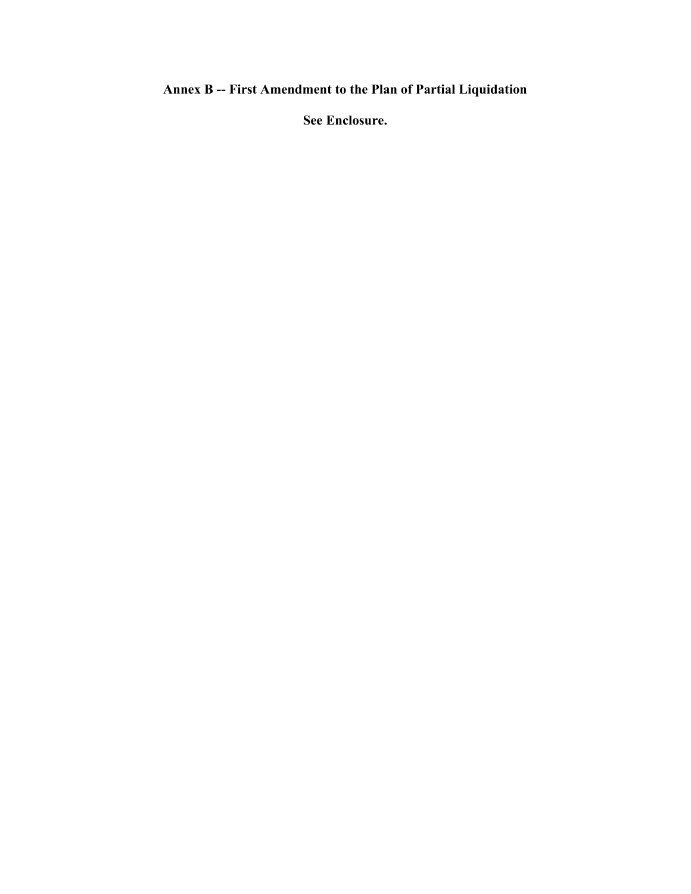# **Annex B -- First Amendment to the Plan of Partial Liquidation**

**See Enclosure.**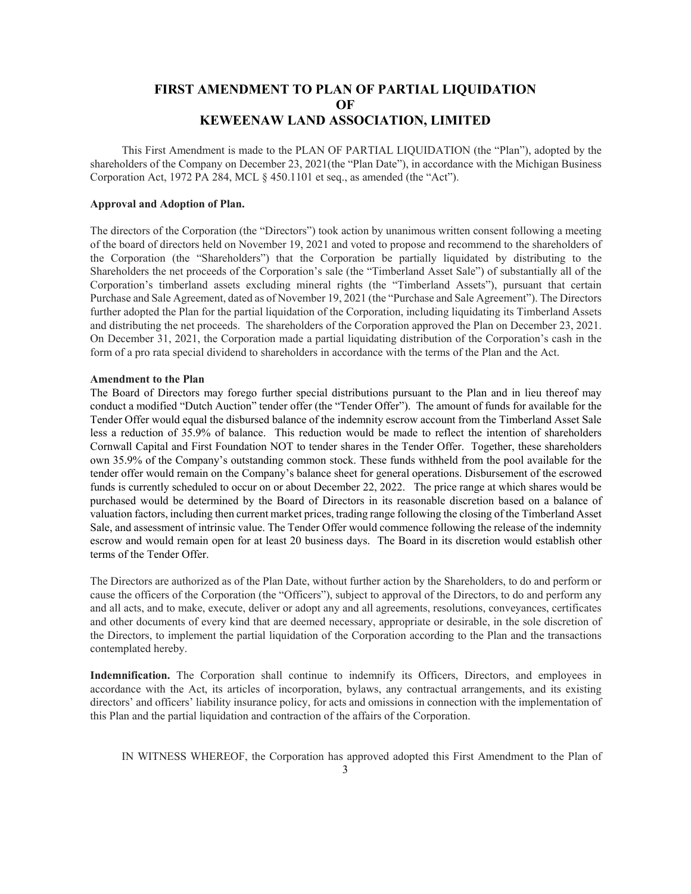## **FIRST AMENDMENT TO PLAN OF PARTIAL LIQUIDATION OF KEWEENAW LAND ASSOCIATION, LIMITED**

This First Amendment is made to the PLAN OF PARTIAL LIQUIDATION (the "Plan"), adopted by the shareholders of the Company on December 23, 2021(the "Plan Date"), in accordance with the Michigan Business Corporation Act, 1972 PA 284, MCL § 450.1101 et seq., as amended (the "Act").

#### **Approval and Adoption of Plan.**

The directors of the Corporation (the "Directors") took action by unanimous written consent following a meeting of the board of directors held on November 19, 2021 and voted to propose and recommend to the shareholders of the Corporation (the "Shareholders") that the Corporation be partially liquidated by distributing to the Shareholders the net proceeds of the Corporation's sale (the "Timberland Asset Sale") of substantially all of the Corporation's timberland assets excluding mineral rights (the "Timberland Assets"), pursuant that certain Purchase and Sale Agreement, dated as of November 19, 2021 (the "Purchase and Sale Agreement"). The Directors further adopted the Plan for the partial liquidation of the Corporation, including liquidating its Timberland Assets and distributing the net proceeds. The shareholders of the Corporation approved the Plan on December 23, 2021. On December 31, 2021, the Corporation made a partial liquidating distribution of the Corporation's cash in the form of a pro rata special dividend to shareholders in accordance with the terms of the Plan and the Act.

#### **Amendment to the Plan**

The Board of Directors may forego further special distributions pursuant to the Plan and in lieu thereof may conduct a modified "Dutch Auction" tender offer (the "Tender Offer"). The amount of funds for available for the Tender Offer would equal the disbursed balance of the indemnity escrow account from the Timberland Asset Sale less a reduction of 35.9% of balance. This reduction would be made to reflect the intention of shareholders Cornwall Capital and First Foundation NOT to tender shares in the Tender Offer. Together, these shareholders own 35.9% of the Company's outstanding common stock. These funds withheld from the pool available for the tender offer would remain on the Company's balance sheet for general operations. Disbursement of the escrowed funds is currently scheduled to occur on or about December 22, 2022. The price range at which shares would be purchased would be determined by the Board of Directors in its reasonable discretion based on a balance of valuation factors, including then current market prices, trading range following the closing of the Timberland Asset Sale, and assessment of intrinsic value. The Tender Offer would commence following the release of the indemnity escrow and would remain open for at least 20 business days. The Board in its discretion would establish other terms of the Tender Offer.

The Directors are authorized as of the Plan Date, without further action by the Shareholders, to do and perform or cause the officers of the Corporation (the "Officers"), subject to approval of the Directors, to do and perform any and all acts, and to make, execute, deliver or adopt any and all agreements, resolutions, conveyances, certificates and other documents of every kind that are deemed necessary, appropriate or desirable, in the sole discretion of the Directors, to implement the partial liquidation of the Corporation according to the Plan and the transactions contemplated hereby.

**Indemnification.** The Corporation shall continue to indemnify its Officers, Directors, and employees in accordance with the Act, its articles of incorporation, bylaws, any contractual arrangements, and its existing directors' and officers' liability insurance policy, for acts and omissions in connection with the implementation of this Plan and the partial liquidation and contraction of the affairs of the Corporation.

IN WITNESS WHEREOF, the Corporation has approved adopted this First Amendment to the Plan of